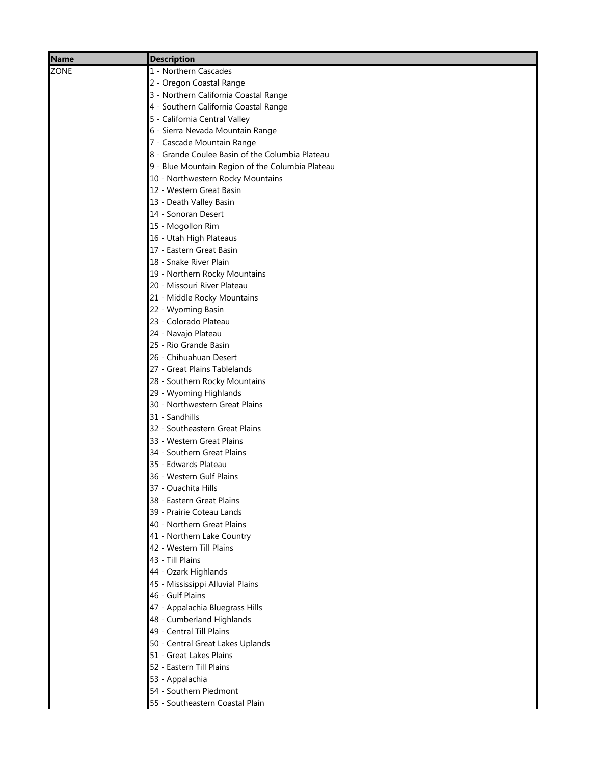| Name | <b>Description</b>                               |
|------|--------------------------------------------------|
| ZONE | 1 - Northern Cascades                            |
|      | 2 - Oregon Coastal Range                         |
|      | 3 - Northern California Coastal Range            |
|      | 4 - Southern California Coastal Range            |
|      | 5 - California Central Valley                    |
|      | 6 - Sierra Nevada Mountain Range                 |
|      | 7 - Cascade Mountain Range                       |
|      | 8 - Grande Coulee Basin of the Columbia Plateau  |
|      | 9 - Blue Mountain Region of the Columbia Plateau |
|      | 10 - Northwestern Rocky Mountains                |
|      | 12 - Western Great Basin                         |
|      | 13 - Death Valley Basin                          |
|      | 14 - Sonoran Desert                              |
|      | 15 - Mogollon Rim                                |
|      | 16 - Utah High Plateaus                          |
|      | 17 - Eastern Great Basin                         |
|      | 18 - Snake River Plain                           |
|      | 19 - Northern Rocky Mountains                    |
|      | 20 - Missouri River Plateau                      |
|      | 21 - Middle Rocky Mountains                      |
|      | 22 - Wyoming Basin                               |
|      | 23 - Colorado Plateau                            |
|      | 24 - Navajo Plateau                              |
|      | 25 - Rio Grande Basin                            |
|      | 26 - Chihuahuan Desert                           |
|      | 27 - Great Plains Tablelands                     |
|      | 28 - Southern Rocky Mountains                    |
|      | 29 - Wyoming Highlands                           |
|      | 30 - Northwestern Great Plains<br>31 - Sandhills |
|      | 32 - Southeastern Great Plains                   |
|      | 33 - Western Great Plains                        |
|      | 34 - Southern Great Plains                       |
|      | 35 - Edwards Plateau                             |
|      | 36 - Western Gulf Plains                         |
|      | 37 - Ouachita Hills                              |
|      | 38 - Eastern Great Plains                        |
|      | 39 - Prairie Coteau Lands                        |
|      | 40 - Northern Great Plains                       |
|      | 41 - Northern Lake Country                       |
|      | 42 - Western Till Plains                         |
|      | 43 - Till Plains                                 |
|      | 44 - Ozark Highlands                             |
|      | 45 - Mississippi Alluvial Plains                 |
|      | 46 - Gulf Plains                                 |
|      | 47 - Appalachia Bluegrass Hills                  |
|      | 48 - Cumberland Highlands                        |
|      | 49 - Central Till Plains                         |
|      | 50 - Central Great Lakes Uplands                 |
|      | 51 - Great Lakes Plains                          |
|      | 52 - Eastern Till Plains                         |
|      | 53 - Appalachia                                  |
|      | 54 - Southern Piedmont                           |
|      | 55 - Southeastern Coastal Plain                  |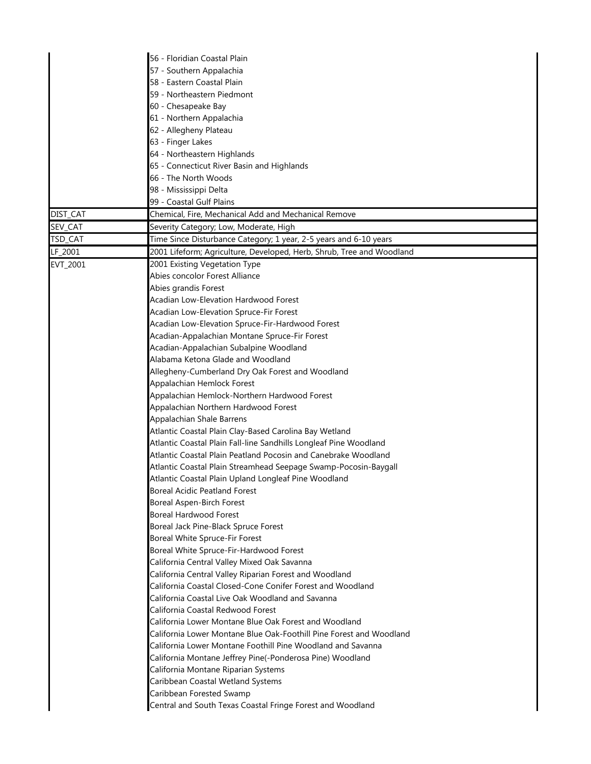|          | 56 - Floridian Coastal Plain                                          |
|----------|-----------------------------------------------------------------------|
|          | 57 - Southern Appalachia                                              |
|          | 58 - Eastern Coastal Plain                                            |
|          | 59 - Northeastern Piedmont                                            |
|          | 60 - Chesapeake Bay                                                   |
|          | 61 - Northern Appalachia                                              |
|          | 62 - Allegheny Plateau                                                |
|          | 63 - Finger Lakes                                                     |
|          | 64 - Northeastern Highlands                                           |
|          | 65 - Connecticut River Basin and Highlands                            |
|          | 66 - The North Woods                                                  |
|          | 98 - Mississippi Delta                                                |
|          | 99 - Coastal Gulf Plains                                              |
| DIST_CAT | Chemical, Fire, Mechanical Add and Mechanical Remove                  |
| SEV_CAT  | Severity Category; Low, Moderate, High                                |
| TSD_CAT  | Time Since Disturbance Category; 1 year, 2-5 years and 6-10 years     |
|          |                                                                       |
| LF_2001  | 2001 Lifeform; Agriculture, Developed, Herb, Shrub, Tree and Woodland |
| EVT_2001 | 2001 Existing Vegetation Type                                         |
|          | Abies concolor Forest Alliance                                        |
|          | Abies grandis Forest                                                  |
|          | Acadian Low-Elevation Hardwood Forest                                 |
|          | Acadian Low-Elevation Spruce-Fir Forest                               |
|          | Acadian Low-Elevation Spruce-Fir-Hardwood Forest                      |
|          | Acadian-Appalachian Montane Spruce-Fir Forest                         |
|          | Acadian-Appalachian Subalpine Woodland                                |
|          | Alabama Ketona Glade and Woodland                                     |
|          | Allegheny-Cumberland Dry Oak Forest and Woodland                      |
|          | Appalachian Hemlock Forest                                            |
|          | Appalachian Hemlock-Northern Hardwood Forest                          |
|          | Appalachian Northern Hardwood Forest                                  |
|          | <b>Appalachian Shale Barrens</b>                                      |
|          | Atlantic Coastal Plain Clay-Based Carolina Bay Wetland                |
|          | Atlantic Coastal Plain Fall-line Sandhills Longleaf Pine Woodland     |
|          | Atlantic Coastal Plain Peatland Pocosin and Canebrake Woodland        |
|          | Atlantic Coastal Plain Streamhead Seepage Swamp-Pocosin-Baygall       |
|          | Atlantic Coastal Plain Upland Longleaf Pine Woodland                  |
|          | <b>Boreal Acidic Peatland Forest</b>                                  |
|          | <b>Boreal Aspen-Birch Forest</b>                                      |
|          | <b>Boreal Hardwood Forest</b>                                         |
|          | Boreal Jack Pine-Black Spruce Forest                                  |
|          | Boreal White Spruce-Fir Forest                                        |
|          | Boreal White Spruce-Fir-Hardwood Forest                               |
|          | California Central Valley Mixed Oak Savanna                           |
|          | California Central Valley Riparian Forest and Woodland                |
|          | California Coastal Closed-Cone Conifer Forest and Woodland            |
|          | California Coastal Live Oak Woodland and Savanna                      |
|          | California Coastal Redwood Forest                                     |
|          | California Lower Montane Blue Oak Forest and Woodland                 |
|          | California Lower Montane Blue Oak-Foothill Pine Forest and Woodland   |
|          | California Lower Montane Foothill Pine Woodland and Savanna           |
|          | California Montane Jeffrey Pine(-Ponderosa Pine) Woodland             |
|          | California Montane Riparian Systems                                   |
|          | Caribbean Coastal Wetland Systems                                     |
|          | Caribbean Forested Swamp                                              |
|          | Central and South Texas Coastal Fringe Forest and Woodland            |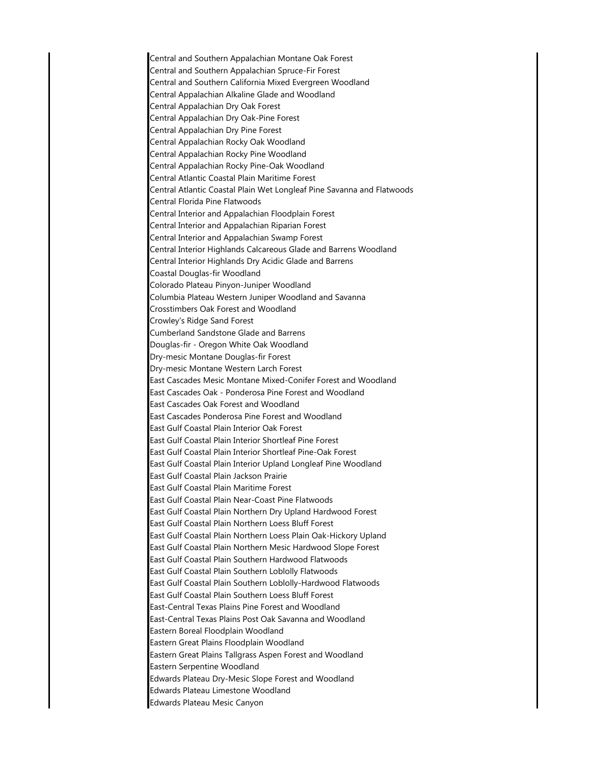Central and Southern Appalachian Montane Oak Forest Central and Southern Appalachian Spruce-Fir Forest Central and Southern California Mixed Evergreen Woodland Central Appalachian Alkaline Glade and Woodland Central Appalachian Dry Oak Forest Central Appalachian Dry Oak-Pine Forest Central Appalachian Dry Pine Forest Central Appalachian Rocky Oak Woodland Central Appalachian Rocky Pine Woodland Central Appalachian Rocky Pine-Oak Woodland Central Atlantic Coastal Plain Maritime Forest Central Atlantic Coastal Plain Wet Longleaf Pine Savanna and Flatwoods Central Florida Pine Flatwoods Central Interior and Appalachian Floodplain Forest Central Interior and Appalachian Riparian Forest Central Interior and Appalachian Swamp Forest Central Interior Highlands Calcareous Glade and Barrens Woodland Central Interior Highlands Dry Acidic Glade and Barrens Coastal Douglas-fir Woodland Colorado Plateau Pinyon-Juniper Woodland Columbia Plateau Western Juniper Woodland and Savanna Crosstimbers Oak Forest and Woodland Crowley's Ridge Sand Forest Cumberland Sandstone Glade and Barrens Douglas-fir - Oregon White Oak Woodland Dry-mesic Montane Douglas-fir Forest Dry-mesic Montane Western Larch Forest East Cascades Mesic Montane Mixed-Conifer Forest and Woodland East Cascades Oak - Ponderosa Pine Forest and Woodland East Cascades Oak Forest and Woodland East Cascades Ponderosa Pine Forest and Woodland East Gulf Coastal Plain Interior Oak Forest East Gulf Coastal Plain Interior Shortleaf Pine Forest East Gulf Coastal Plain Interior Shortleaf Pine-Oak Forest East Gulf Coastal Plain Interior Upland Longleaf Pine Woodland East Gulf Coastal Plain Jackson Prairie East Gulf Coastal Plain Maritime Forest East Gulf Coastal Plain Near-Coast Pine Flatwoods East Gulf Coastal Plain Northern Dry Upland Hardwood Forest East Gulf Coastal Plain Northern Loess Bluff Forest East Gulf Coastal Plain Northern Loess Plain Oak-Hickory Upland East Gulf Coastal Plain Northern Mesic Hardwood Slope Forest East Gulf Coastal Plain Southern Hardwood Flatwoods East Gulf Coastal Plain Southern Loblolly Flatwoods East Gulf Coastal Plain Southern Loblolly-Hardwood Flatwoods East Gulf Coastal Plain Southern Loess Bluff Forest East-Central Texas Plains Pine Forest and Woodland East-Central Texas Plains Post Oak Savanna and Woodland Eastern Boreal Floodplain Woodland Eastern Great Plains Floodplain Woodland Eastern Great Plains Tallgrass Aspen Forest and Woodland Eastern Serpentine Woodland Edwards Plateau Dry-Mesic Slope Forest and Woodland Edwards Plateau Limestone Woodland Edwards Plateau Mesic Canyon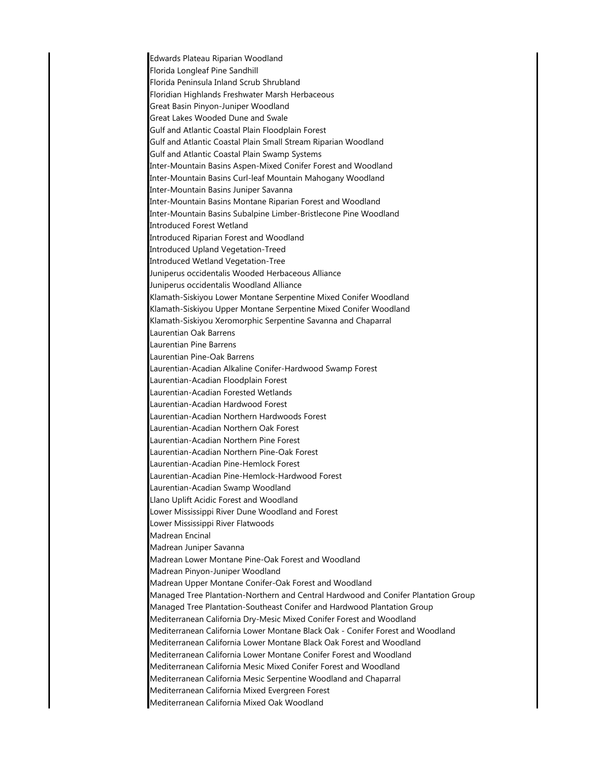Edwards Plateau Riparian Woodland Florida Longleaf Pine Sandhill Florida Peninsula Inland Scrub Shrubland Floridian Highlands Freshwater Marsh Herbaceous Great Basin Pinyon-Juniper Woodland Great Lakes Wooded Dune and Swale Gulf and Atlantic Coastal Plain Floodplain Forest Gulf and Atlantic Coastal Plain Small Stream Riparian Woodland Gulf and Atlantic Coastal Plain Swamp Systems Inter-Mountain Basins Aspen-Mixed Conifer Forest and Woodland Inter-Mountain Basins Curl-leaf Mountain Mahogany Woodland Inter-Mountain Basins Juniper Savanna Inter-Mountain Basins Montane Riparian Forest and Woodland Inter-Mountain Basins Subalpine Limber-Bristlecone Pine Woodland Introduced Forest Wetland Introduced Riparian Forest and Woodland Introduced Upland Vegetation-Treed Introduced Wetland Vegetation-Tree Juniperus occidentalis Wooded Herbaceous Alliance Juniperus occidentalis Woodland Alliance Klamath-Siskiyou Lower Montane Serpentine Mixed Conifer Woodland Klamath-Siskiyou Upper Montane Serpentine Mixed Conifer Woodland Klamath-Siskiyou Xeromorphic Serpentine Savanna and Chaparral Laurentian Oak Barrens Laurentian Pine Barrens Laurentian Pine-Oak Barrens Laurentian-Acadian Alkaline Conifer-Hardwood Swamp Forest Laurentian-Acadian Floodplain Forest Laurentian-Acadian Forested Wetlands Laurentian-Acadian Hardwood Forest Laurentian-Acadian Northern Hardwoods Forest Laurentian-Acadian Northern Oak Forest Laurentian-Acadian Northern Pine Forest Laurentian-Acadian Northern Pine-Oak Forest Laurentian-Acadian Pine-Hemlock Forest Laurentian-Acadian Pine-Hemlock-Hardwood Forest Laurentian-Acadian Swamp Woodland Llano Uplift Acidic Forest and Woodland Lower Mississippi River Dune Woodland and Forest Lower Mississippi River Flatwoods Madrean Encinal Madrean Juniper Savanna Madrean Lower Montane Pine-Oak Forest and Woodland Madrean Pinyon-Juniper Woodland Madrean Upper Montane Conifer-Oak Forest and Woodland Managed Tree Plantation-Northern and Central Hardwood and Conifer Plantation Group Managed Tree Plantation-Southeast Conifer and Hardwood Plantation Group Mediterranean California Dry-Mesic Mixed Conifer Forest and Woodland Mediterranean California Lower Montane Black Oak - Conifer Forest and Woodland Mediterranean California Lower Montane Black Oak Forest and Woodland Mediterranean California Lower Montane Conifer Forest and Woodland Mediterranean California Mesic Mixed Conifer Forest and Woodland Mediterranean California Mesic Serpentine Woodland and Chaparral Mediterranean California Mixed Evergreen Forest Mediterranean California Mixed Oak Woodland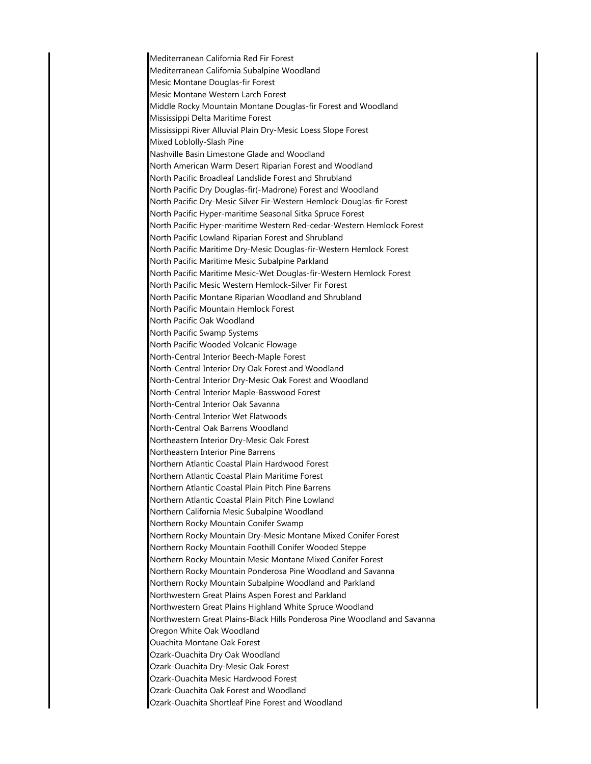Mediterranean California Red Fir Forest Mediterranean California Subalpine Woodland Mesic Montane Douglas-fir Forest Mesic Montane Western Larch Forest Middle Rocky Mountain Montane Douglas-fir Forest and Woodland Mississippi Delta Maritime Forest Mississippi River Alluvial Plain Dry-Mesic Loess Slope Forest Mixed Loblolly-Slash Pine Nashville Basin Limestone Glade and Woodland North American Warm Desert Riparian Forest and Woodland North Pacific Broadleaf Landslide Forest and Shrubland North Pacific Dry Douglas-fir(-Madrone) Forest and Woodland North Pacific Dry-Mesic Silver Fir-Western Hemlock-Douglas-fir Forest North Pacific Hyper-maritime Seasonal Sitka Spruce Forest North Pacific Hyper-maritime Western Red-cedar-Western Hemlock Forest North Pacific Lowland Riparian Forest and Shrubland North Pacific Maritime Dry-Mesic Douglas-fir-Western Hemlock Forest North Pacific Maritime Mesic Subalpine Parkland North Pacific Maritime Mesic-Wet Douglas-fir-Western Hemlock Forest North Pacific Mesic Western Hemlock-Silver Fir Forest North Pacific Montane Riparian Woodland and Shrubland North Pacific Mountain Hemlock Forest North Pacific Oak Woodland North Pacific Swamp Systems North Pacific Wooded Volcanic Flowage North-Central Interior Beech-Maple Forest North-Central Interior Dry Oak Forest and Woodland North-Central Interior Dry-Mesic Oak Forest and Woodland North-Central Interior Maple-Basswood Forest North-Central Interior Oak Savanna North-Central Interior Wet Flatwoods North-Central Oak Barrens Woodland Northeastern Interior Dry-Mesic Oak Forest Northeastern Interior Pine Barrens Northern Atlantic Coastal Plain Hardwood Forest Northern Atlantic Coastal Plain Maritime Forest Northern Atlantic Coastal Plain Pitch Pine Barrens Northern Atlantic Coastal Plain Pitch Pine Lowland Northern California Mesic Subalpine Woodland Northern Rocky Mountain Conifer Swamp Northern Rocky Mountain Dry-Mesic Montane Mixed Conifer Forest Northern Rocky Mountain Foothill Conifer Wooded Steppe Northern Rocky Mountain Mesic Montane Mixed Conifer Forest Northern Rocky Mountain Ponderosa Pine Woodland and Savanna Northern Rocky Mountain Subalpine Woodland and Parkland Northwestern Great Plains Aspen Forest and Parkland Northwestern Great Plains Highland White Spruce Woodland Northwestern Great Plains-Black Hills Ponderosa Pine Woodland and Savanna Oregon White Oak Woodland Ouachita Montane Oak Forest Ozark-Ouachita Dry Oak Woodland Ozark-Ouachita Dry-Mesic Oak Forest Ozark-Ouachita Mesic Hardwood Forest Ozark-Ouachita Oak Forest and Woodland Ozark-Ouachita Shortleaf Pine Forest and Woodland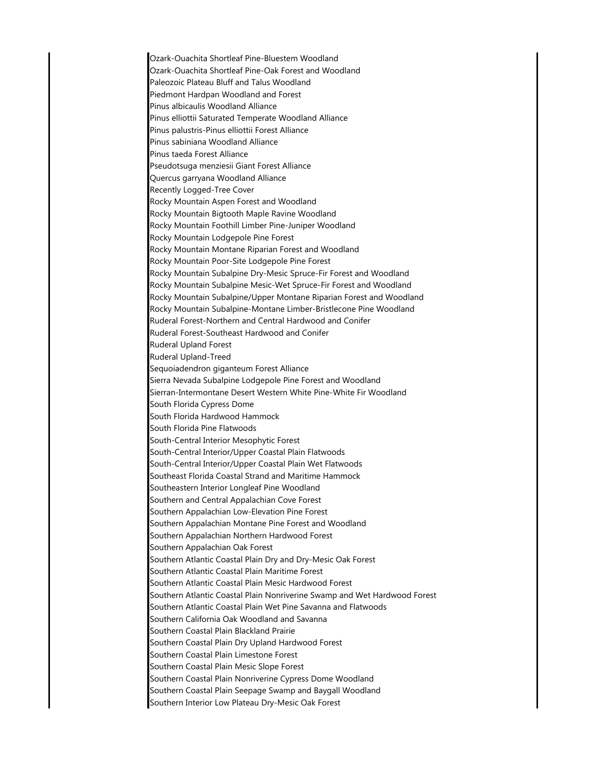Ozark-Ouachita Shortleaf Pine-Bluestem Woodland Ozark-Ouachita Shortleaf Pine-Oak Forest and Woodland Paleozoic Plateau Bluff and Talus Woodland Piedmont Hardpan Woodland and Forest Pinus albicaulis Woodland Alliance Pinus elliottii Saturated Temperate Woodland Alliance Pinus palustris-Pinus elliottii Forest Alliance Pinus sabiniana Woodland Alliance Pinus taeda Forest Alliance Pseudotsuga menziesii Giant Forest Alliance Quercus garryana Woodland Alliance Recently Logged-Tree Cover Rocky Mountain Aspen Forest and Woodland Rocky Mountain Bigtooth Maple Ravine Woodland Rocky Mountain Foothill Limber Pine-Juniper Woodland Rocky Mountain Lodgepole Pine Forest Rocky Mountain Montane Riparian Forest and Woodland Rocky Mountain Poor-Site Lodgepole Pine Forest Rocky Mountain Subalpine Dry-Mesic Spruce-Fir Forest and Woodland Rocky Mountain Subalpine Mesic-Wet Spruce-Fir Forest and Woodland Rocky Mountain Subalpine/Upper Montane Riparian Forest and Woodland Rocky Mountain Subalpine-Montane Limber-Bristlecone Pine Woodland Ruderal Forest-Northern and Central Hardwood and Conifer Ruderal Forest-Southeast Hardwood and Conifer Ruderal Upland Forest Ruderal Upland-Treed Sequoiadendron giganteum Forest Alliance Sierra Nevada Subalpine Lodgepole Pine Forest and Woodland Sierran-Intermontane Desert Western White Pine-White Fir Woodland South Florida Cypress Dome South Florida Hardwood Hammock South Florida Pine Flatwoods South-Central Interior Mesophytic Forest South-Central Interior/Upper Coastal Plain Flatwoods South-Central Interior/Upper Coastal Plain Wet Flatwoods Southeast Florida Coastal Strand and Maritime Hammock Southeastern Interior Longleaf Pine Woodland Southern and Central Appalachian Cove Forest Southern Appalachian Low-Elevation Pine Forest Southern Appalachian Montane Pine Forest and Woodland Southern Appalachian Northern Hardwood Forest Southern Appalachian Oak Forest Southern Atlantic Coastal Plain Dry and Dry-Mesic Oak Forest Southern Atlantic Coastal Plain Maritime Forest Southern Atlantic Coastal Plain Mesic Hardwood Forest Southern Atlantic Coastal Plain Nonriverine Swamp and Wet Hardwood Forest Southern Atlantic Coastal Plain Wet Pine Savanna and Flatwoods Southern California Oak Woodland and Savanna Southern Coastal Plain Blackland Prairie Southern Coastal Plain Dry Upland Hardwood Forest Southern Coastal Plain Limestone Forest Southern Coastal Plain Mesic Slope Forest Southern Coastal Plain Nonriverine Cypress Dome Woodland Southern Coastal Plain Seepage Swamp and Baygall Woodland Southern Interior Low Plateau Dry-Mesic Oak Forest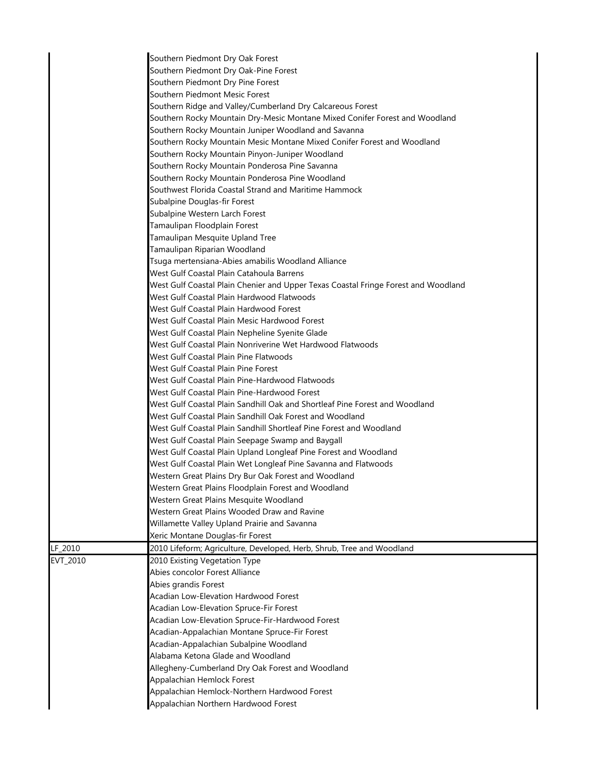|          | Southern Piedmont Dry Oak Forest                                                   |  |
|----------|------------------------------------------------------------------------------------|--|
|          | Southern Piedmont Dry Oak-Pine Forest                                              |  |
|          | Southern Piedmont Dry Pine Forest                                                  |  |
|          | Southern Piedmont Mesic Forest                                                     |  |
|          | Southern Ridge and Valley/Cumberland Dry Calcareous Forest                         |  |
|          | Southern Rocky Mountain Dry-Mesic Montane Mixed Conifer Forest and Woodland        |  |
|          | Southern Rocky Mountain Juniper Woodland and Savanna                               |  |
|          | Southern Rocky Mountain Mesic Montane Mixed Conifer Forest and Woodland            |  |
|          | Southern Rocky Mountain Pinyon-Juniper Woodland                                    |  |
|          | Southern Rocky Mountain Ponderosa Pine Savanna                                     |  |
|          | Southern Rocky Mountain Ponderosa Pine Woodland                                    |  |
|          | Southwest Florida Coastal Strand and Maritime Hammock                              |  |
|          | Subalpine Douglas-fir Forest                                                       |  |
|          | Subalpine Western Larch Forest                                                     |  |
|          | Tamaulipan Floodplain Forest                                                       |  |
|          | Tamaulipan Mesquite Upland Tree                                                    |  |
|          | Tamaulipan Riparian Woodland                                                       |  |
|          | Tsuga mertensiana-Abies amabilis Woodland Alliance                                 |  |
|          | West Gulf Coastal Plain Catahoula Barrens                                          |  |
|          | West Gulf Coastal Plain Chenier and Upper Texas Coastal Fringe Forest and Woodland |  |
|          | West Gulf Coastal Plain Hardwood Flatwoods                                         |  |
|          | West Gulf Coastal Plain Hardwood Forest                                            |  |
|          | West Gulf Coastal Plain Mesic Hardwood Forest                                      |  |
|          | West Gulf Coastal Plain Nepheline Syenite Glade                                    |  |
|          | West Gulf Coastal Plain Nonriverine Wet Hardwood Flatwoods                         |  |
|          | West Gulf Coastal Plain Pine Flatwoods                                             |  |
|          | West Gulf Coastal Plain Pine Forest                                                |  |
|          | West Gulf Coastal Plain Pine-Hardwood Flatwoods                                    |  |
|          | West Gulf Coastal Plain Pine-Hardwood Forest                                       |  |
|          | West Gulf Coastal Plain Sandhill Oak and Shortleaf Pine Forest and Woodland        |  |
|          | West Gulf Coastal Plain Sandhill Oak Forest and Woodland                           |  |
|          | West Gulf Coastal Plain Sandhill Shortleaf Pine Forest and Woodland                |  |
|          | West Gulf Coastal Plain Seepage Swamp and Baygall                                  |  |
|          | West Gulf Coastal Plain Upland Longleaf Pine Forest and Woodland                   |  |
|          | West Gulf Coastal Plain Wet Longleaf Pine Savanna and Flatwoods                    |  |
|          | Western Great Plains Dry Bur Oak Forest and Woodland                               |  |
|          | Western Great Plains Floodplain Forest and Woodland                                |  |
|          | Western Great Plains Mesquite Woodland                                             |  |
|          | Western Great Plains Wooded Draw and Ravine                                        |  |
|          | Willamette Valley Upland Prairie and Savanna                                       |  |
|          | Xeric Montane Douglas-fir Forest                                                   |  |
| LF_2010  | 2010 Lifeform; Agriculture, Developed, Herb, Shrub, Tree and Woodland              |  |
| EVT_2010 | 2010 Existing Vegetation Type                                                      |  |
|          | Abies concolor Forest Alliance                                                     |  |
|          | Abies grandis Forest                                                               |  |
|          | Acadian Low-Elevation Hardwood Forest                                              |  |
|          | Acadian Low-Elevation Spruce-Fir Forest                                            |  |
|          | Acadian Low-Elevation Spruce-Fir-Hardwood Forest                                   |  |
|          | Acadian-Appalachian Montane Spruce-Fir Forest                                      |  |
|          | Acadian-Appalachian Subalpine Woodland                                             |  |
|          | Alabama Ketona Glade and Woodland                                                  |  |
|          | Allegheny-Cumberland Dry Oak Forest and Woodland                                   |  |
|          | Appalachian Hemlock Forest                                                         |  |
|          | Appalachian Hemlock-Northern Hardwood Forest                                       |  |
|          | Appalachian Northern Hardwood Forest                                               |  |
|          |                                                                                    |  |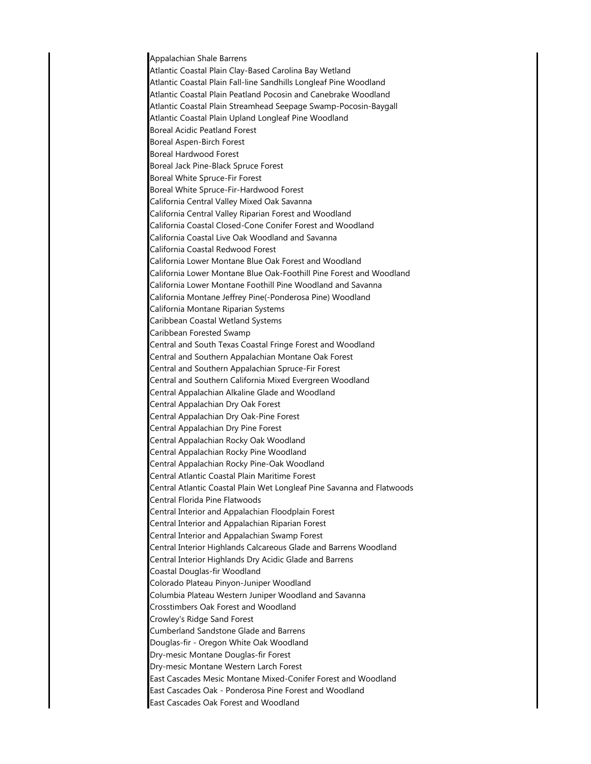Appalachian Shale Barrens Atlantic Coastal Plain Clay-Based Carolina Bay Wetland Atlantic Coastal Plain Fall-line Sandhills Longleaf Pine Woodland Atlantic Coastal Plain Peatland Pocosin and Canebrake Woodland Atlantic Coastal Plain Streamhead Seepage Swamp-Pocosin-Baygall Atlantic Coastal Plain Upland Longleaf Pine Woodland Boreal Acidic Peatland Forest Boreal Aspen-Birch Forest Boreal Hardwood Forest Boreal Jack Pine-Black Spruce Forest Boreal White Spruce-Fir Forest Boreal White Spruce-Fir-Hardwood Forest California Central Valley Mixed Oak Savanna California Central Valley Riparian Forest and Woodland California Coastal Closed-Cone Conifer Forest and Woodland California Coastal Live Oak Woodland and Savanna California Coastal Redwood Forest California Lower Montane Blue Oak Forest and Woodland California Lower Montane Blue Oak-Foothill Pine Forest and Woodland California Lower Montane Foothill Pine Woodland and Savanna California Montane Jeffrey Pine(-Ponderosa Pine) Woodland California Montane Riparian Systems Caribbean Coastal Wetland Systems Caribbean Forested Swamp Central and South Texas Coastal Fringe Forest and Woodland Central and Southern Appalachian Montane Oak Forest Central and Southern Appalachian Spruce-Fir Forest Central and Southern California Mixed Evergreen Woodland Central Appalachian Alkaline Glade and Woodland Central Appalachian Dry Oak Forest Central Appalachian Dry Oak-Pine Forest Central Appalachian Dry Pine Forest Central Appalachian Rocky Oak Woodland Central Appalachian Rocky Pine Woodland Central Appalachian Rocky Pine-Oak Woodland Central Atlantic Coastal Plain Maritime Forest Central Atlantic Coastal Plain Wet Longleaf Pine Savanna and Flatwoods Central Florida Pine Flatwoods Central Interior and Appalachian Floodplain Forest Central Interior and Appalachian Riparian Forest Central Interior and Appalachian Swamp Forest Central Interior Highlands Calcareous Glade and Barrens Woodland Central Interior Highlands Dry Acidic Glade and Barrens Coastal Douglas-fir Woodland Colorado Plateau Pinyon-Juniper Woodland Columbia Plateau Western Juniper Woodland and Savanna Crosstimbers Oak Forest and Woodland Crowley's Ridge Sand Forest Cumberland Sandstone Glade and Barrens Douglas-fir - Oregon White Oak Woodland Dry-mesic Montane Douglas-fir Forest Dry-mesic Montane Western Larch Forest East Cascades Mesic Montane Mixed-Conifer Forest and Woodland East Cascades Oak - Ponderosa Pine Forest and Woodland East Cascades Oak Forest and Woodland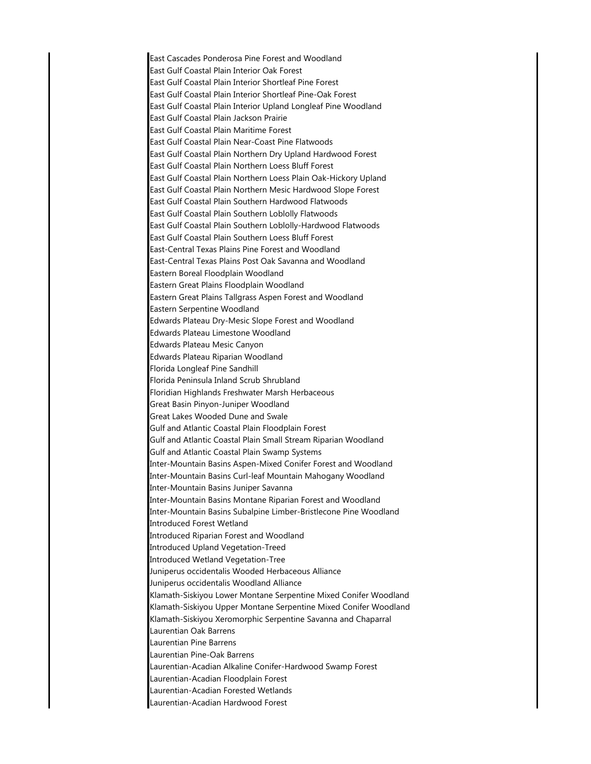East Cascades Ponderosa Pine Forest and Woodland East Gulf Coastal Plain Interior Oak Forest East Gulf Coastal Plain Interior Shortleaf Pine Forest East Gulf Coastal Plain Interior Shortleaf Pine-Oak Forest East Gulf Coastal Plain Interior Upland Longleaf Pine Woodland East Gulf Coastal Plain Jackson Prairie East Gulf Coastal Plain Maritime Forest East Gulf Coastal Plain Near-Coast Pine Flatwoods East Gulf Coastal Plain Northern Dry Upland Hardwood Forest East Gulf Coastal Plain Northern Loess Bluff Forest East Gulf Coastal Plain Northern Loess Plain Oak-Hickory Upland East Gulf Coastal Plain Northern Mesic Hardwood Slope Forest East Gulf Coastal Plain Southern Hardwood Flatwoods East Gulf Coastal Plain Southern Loblolly Flatwoods East Gulf Coastal Plain Southern Loblolly-Hardwood Flatwoods East Gulf Coastal Plain Southern Loess Bluff Forest East-Central Texas Plains Pine Forest and Woodland East-Central Texas Plains Post Oak Savanna and Woodland Eastern Boreal Floodplain Woodland Eastern Great Plains Floodplain Woodland Eastern Great Plains Tallgrass Aspen Forest and Woodland Eastern Serpentine Woodland Edwards Plateau Dry-Mesic Slope Forest and Woodland Edwards Plateau Limestone Woodland Edwards Plateau Mesic Canyon Edwards Plateau Riparian Woodland Florida Longleaf Pine Sandhill Florida Peninsula Inland Scrub Shrubland Floridian Highlands Freshwater Marsh Herbaceous Great Basin Pinyon-Juniper Woodland Great Lakes Wooded Dune and Swale Gulf and Atlantic Coastal Plain Floodplain Forest Gulf and Atlantic Coastal Plain Small Stream Riparian Woodland Gulf and Atlantic Coastal Plain Swamp Systems Inter-Mountain Basins Aspen-Mixed Conifer Forest and Woodland Inter-Mountain Basins Curl-leaf Mountain Mahogany Woodland Inter-Mountain Basins Juniper Savanna Inter-Mountain Basins Montane Riparian Forest and Woodland Inter-Mountain Basins Subalpine Limber-Bristlecone Pine Woodland Introduced Forest Wetland Introduced Riparian Forest and Woodland Introduced Upland Vegetation-Treed Introduced Wetland Vegetation-Tree Juniperus occidentalis Wooded Herbaceous Alliance Juniperus occidentalis Woodland Alliance Klamath-Siskiyou Lower Montane Serpentine Mixed Conifer Woodland Klamath-Siskiyou Upper Montane Serpentine Mixed Conifer Woodland Klamath-Siskiyou Xeromorphic Serpentine Savanna and Chaparral Laurentian Oak Barrens Laurentian Pine Barrens Laurentian Pine-Oak Barrens Laurentian-Acadian Alkaline Conifer-Hardwood Swamp Forest Laurentian-Acadian Floodplain Forest Laurentian-Acadian Forested Wetlands Laurentian-Acadian Hardwood Forest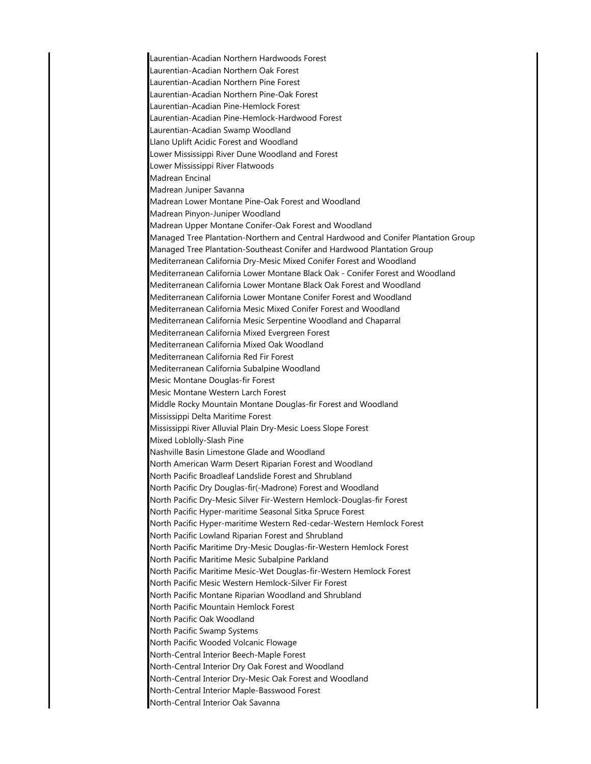Laurentian-Acadian Northern Hardwoods Forest Laurentian-Acadian Northern Oak Forest Laurentian-Acadian Northern Pine Forest Laurentian-Acadian Northern Pine-Oak Forest Laurentian-Acadian Pine-Hemlock Forest Laurentian-Acadian Pine-Hemlock-Hardwood Forest Laurentian-Acadian Swamp Woodland Llano Uplift Acidic Forest and Woodland Lower Mississippi River Dune Woodland and Forest Lower Mississippi River Flatwoods Madrean Encinal Madrean Juniper Savanna Madrean Lower Montane Pine-Oak Forest and Woodland Madrean Pinyon-Juniper Woodland Madrean Upper Montane Conifer-Oak Forest and Woodland Managed Tree Plantation-Northern and Central Hardwood and Conifer Plantation Group Managed Tree Plantation-Southeast Conifer and Hardwood Plantation Group Mediterranean California Dry-Mesic Mixed Conifer Forest and Woodland Mediterranean California Lower Montane Black Oak - Conifer Forest and Woodland Mediterranean California Lower Montane Black Oak Forest and Woodland Mediterranean California Lower Montane Conifer Forest and Woodland Mediterranean California Mesic Mixed Conifer Forest and Woodland Mediterranean California Mesic Serpentine Woodland and Chaparral Mediterranean California Mixed Evergreen Forest Mediterranean California Mixed Oak Woodland Mediterranean California Red Fir Forest Mediterranean California Subalpine Woodland Mesic Montane Douglas-fir Forest Mesic Montane Western Larch Forest Middle Rocky Mountain Montane Douglas-fir Forest and Woodland Mississippi Delta Maritime Forest Mississippi River Alluvial Plain Dry-Mesic Loess Slope Forest Mixed Loblolly-Slash Pine Nashville Basin Limestone Glade and Woodland North American Warm Desert Riparian Forest and Woodland North Pacific Broadleaf Landslide Forest and Shrubland North Pacific Dry Douglas-fir(-Madrone) Forest and Woodland North Pacific Dry-Mesic Silver Fir-Western Hemlock-Douglas-fir Forest North Pacific Hyper-maritime Seasonal Sitka Spruce Forest North Pacific Hyper-maritime Western Red-cedar-Western Hemlock Forest North Pacific Lowland Riparian Forest and Shrubland North Pacific Maritime Dry-Mesic Douglas-fir-Western Hemlock Forest North Pacific Maritime Mesic Subalpine Parkland North Pacific Maritime Mesic-Wet Douglas-fir-Western Hemlock Forest North Pacific Mesic Western Hemlock-Silver Fir Forest North Pacific Montane Riparian Woodland and Shrubland North Pacific Mountain Hemlock Forest North Pacific Oak Woodland North Pacific Swamp Systems North Pacific Wooded Volcanic Flowage North-Central Interior Beech-Maple Forest North-Central Interior Dry Oak Forest and Woodland North-Central Interior Dry-Mesic Oak Forest and Woodland North-Central Interior Maple-Basswood Forest North-Central Interior Oak Savanna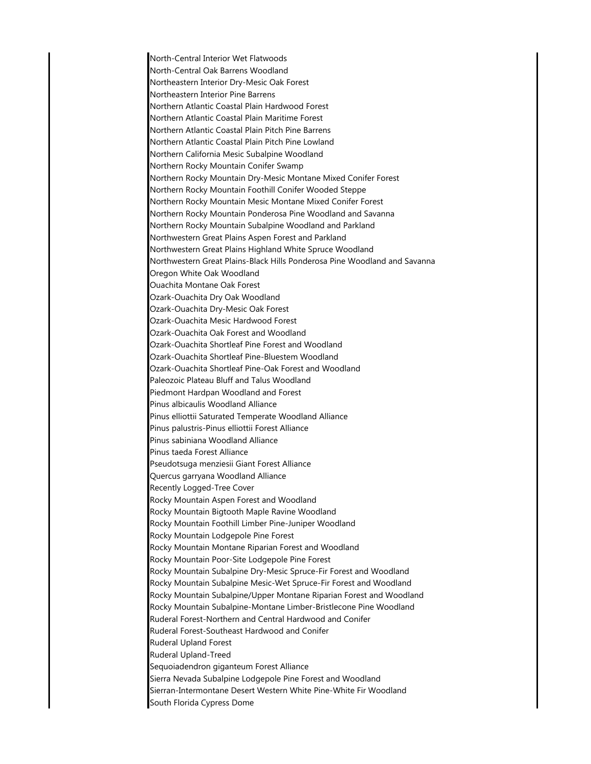North-Central Interior Wet Flatwoods North-Central Oak Barrens Woodland Northeastern Interior Dry-Mesic Oak Forest Northeastern Interior Pine Barrens Northern Atlantic Coastal Plain Hardwood Forest Northern Atlantic Coastal Plain Maritime Forest Northern Atlantic Coastal Plain Pitch Pine Barrens Northern Atlantic Coastal Plain Pitch Pine Lowland Northern California Mesic Subalpine Woodland Northern Rocky Mountain Conifer Swamp Northern Rocky Mountain Dry-Mesic Montane Mixed Conifer Forest Northern Rocky Mountain Foothill Conifer Wooded Steppe Northern Rocky Mountain Mesic Montane Mixed Conifer Forest Northern Rocky Mountain Ponderosa Pine Woodland and Savanna Northern Rocky Mountain Subalpine Woodland and Parkland Northwestern Great Plains Aspen Forest and Parkland Northwestern Great Plains Highland White Spruce Woodland Northwestern Great Plains-Black Hills Ponderosa Pine Woodland and Savanna Oregon White Oak Woodland Ouachita Montane Oak Forest Ozark-Ouachita Dry Oak Woodland Ozark-Ouachita Dry-Mesic Oak Forest Ozark-Ouachita Mesic Hardwood Forest Ozark-Ouachita Oak Forest and Woodland Ozark-Ouachita Shortleaf Pine Forest and Woodland Ozark-Ouachita Shortleaf Pine-Bluestem Woodland Ozark-Ouachita Shortleaf Pine-Oak Forest and Woodland Paleozoic Plateau Bluff and Talus Woodland Piedmont Hardpan Woodland and Forest Pinus albicaulis Woodland Alliance Pinus elliottii Saturated Temperate Woodland Alliance Pinus palustris-Pinus elliottii Forest Alliance Pinus sabiniana Woodland Alliance Pinus taeda Forest Alliance Pseudotsuga menziesii Giant Forest Alliance Quercus garryana Woodland Alliance Recently Logged-Tree Cover Rocky Mountain Aspen Forest and Woodland Rocky Mountain Bigtooth Maple Ravine Woodland Rocky Mountain Foothill Limber Pine-Juniper Woodland Rocky Mountain Lodgepole Pine Forest Rocky Mountain Montane Riparian Forest and Woodland Rocky Mountain Poor-Site Lodgepole Pine Forest Rocky Mountain Subalpine Dry-Mesic Spruce-Fir Forest and Woodland Rocky Mountain Subalpine Mesic-Wet Spruce-Fir Forest and Woodland Rocky Mountain Subalpine/Upper Montane Riparian Forest and Woodland Rocky Mountain Subalpine-Montane Limber-Bristlecone Pine Woodland Ruderal Forest-Northern and Central Hardwood and Conifer Ruderal Forest-Southeast Hardwood and Conifer Ruderal Upland Forest Ruderal Upland-Treed Sequoiadendron giganteum Forest Alliance Sierra Nevada Subalpine Lodgepole Pine Forest and Woodland Sierran-Intermontane Desert Western White Pine-White Fir Woodland South Florida Cypress Dome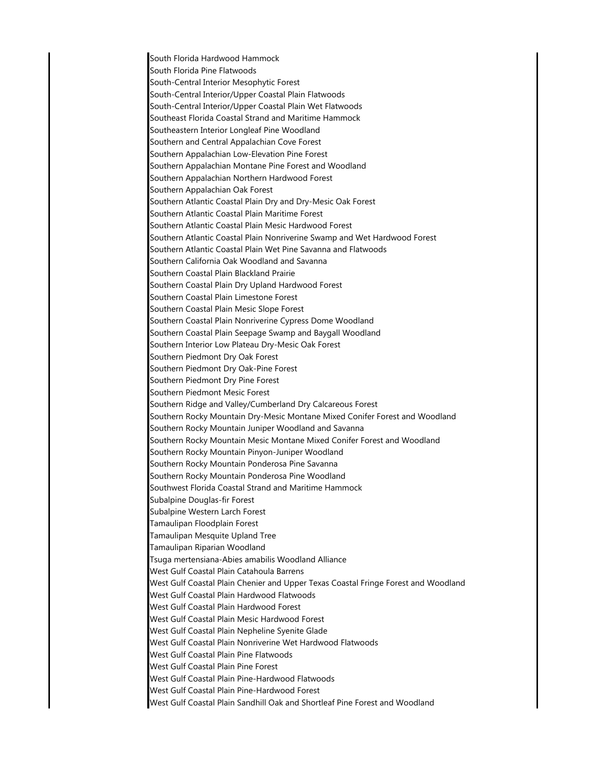South Florida Hardwood Hammock South Florida Pine Flatwoods South-Central Interior Mesophytic Forest South-Central Interior/Upper Coastal Plain Flatwoods South-Central Interior/Upper Coastal Plain Wet Flatwoods Southeast Florida Coastal Strand and Maritime Hammock Southeastern Interior Longleaf Pine Woodland Southern and Central Appalachian Cove Forest Southern Appalachian Low-Elevation Pine Forest Southern Appalachian Montane Pine Forest and Woodland Southern Appalachian Northern Hardwood Forest Southern Appalachian Oak Forest Southern Atlantic Coastal Plain Dry and Dry-Mesic Oak Forest Southern Atlantic Coastal Plain Maritime Forest Southern Atlantic Coastal Plain Mesic Hardwood Forest Southern Atlantic Coastal Plain Nonriverine Swamp and Wet Hardwood Forest Southern Atlantic Coastal Plain Wet Pine Savanna and Flatwoods Southern California Oak Woodland and Savanna Southern Coastal Plain Blackland Prairie Southern Coastal Plain Dry Upland Hardwood Forest Southern Coastal Plain Limestone Forest Southern Coastal Plain Mesic Slope Forest Southern Coastal Plain Nonriverine Cypress Dome Woodland Southern Coastal Plain Seepage Swamp and Baygall Woodland Southern Interior Low Plateau Dry-Mesic Oak Forest Southern Piedmont Dry Oak Forest Southern Piedmont Dry Oak-Pine Forest Southern Piedmont Dry Pine Forest Southern Piedmont Mesic Forest Southern Ridge and Valley/Cumberland Dry Calcareous Forest Southern Rocky Mountain Dry-Mesic Montane Mixed Conifer Forest and Woodland Southern Rocky Mountain Juniper Woodland and Savanna Southern Rocky Mountain Mesic Montane Mixed Conifer Forest and Woodland Southern Rocky Mountain Pinyon-Juniper Woodland Southern Rocky Mountain Ponderosa Pine Savanna Southern Rocky Mountain Ponderosa Pine Woodland Southwest Florida Coastal Strand and Maritime Hammock Subalpine Douglas-fir Forest Subalpine Western Larch Forest Tamaulipan Floodplain Forest Tamaulipan Mesquite Upland Tree Tamaulipan Riparian Woodland Tsuga mertensiana-Abies amabilis Woodland Alliance West Gulf Coastal Plain Catahoula Barrens West Gulf Coastal Plain Chenier and Upper Texas Coastal Fringe Forest and Woodland West Gulf Coastal Plain Hardwood Flatwoods West Gulf Coastal Plain Hardwood Forest West Gulf Coastal Plain Mesic Hardwood Forest West Gulf Coastal Plain Nepheline Syenite Glade West Gulf Coastal Plain Nonriverine Wet Hardwood Flatwoods West Gulf Coastal Plain Pine Flatwoods West Gulf Coastal Plain Pine Forest West Gulf Coastal Plain Pine-Hardwood Flatwoods West Gulf Coastal Plain Pine-Hardwood Forest West Gulf Coastal Plain Sandhill Oak and Shortleaf Pine Forest and Woodland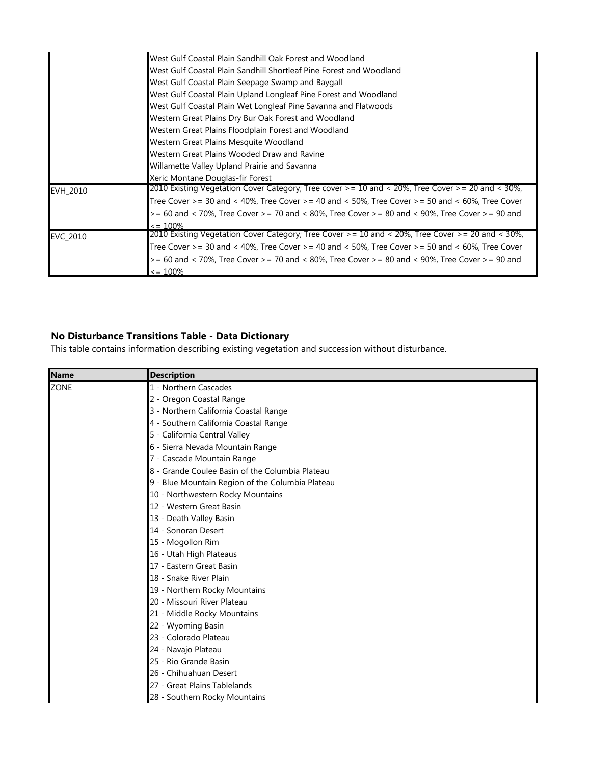|          | West Gulf Coastal Plain Sandhill Oak Forest and Woodland                                                          |
|----------|-------------------------------------------------------------------------------------------------------------------|
|          | West Gulf Coastal Plain Sandhill Shortleaf Pine Forest and Woodland                                               |
|          | West Gulf Coastal Plain Seepage Swamp and Baygall                                                                 |
|          | West Gulf Coastal Plain Upland Longleaf Pine Forest and Woodland                                                  |
|          | West Gulf Coastal Plain Wet Longleaf Pine Savanna and Flatwoods                                                   |
|          | Western Great Plains Dry Bur Oak Forest and Woodland                                                              |
|          | Western Great Plains Floodplain Forest and Woodland                                                               |
|          | Western Great Plains Mesquite Woodland                                                                            |
|          | Western Great Plains Wooded Draw and Ravine                                                                       |
|          | Willamette Valley Upland Prairie and Savanna                                                                      |
|          | Xeric Montane Douglas-fir Forest                                                                                  |
| EVH 2010 | (2010 Existing Vegetation Cover Category; Tree cover >= 10 and < 20%, Tree Cover >= 20 and < 30%,                 |
|          | Tree Cover >= 30 and < 40%, Tree Cover >= 40 and < 50%, Tree Cover >= 50 and < 60%, Tree Cover                    |
|          | $>= 60$ and $< 70\%$ , Tree Cover $>= 70$ and $< 80\%$ , Tree Cover $>= 80$ and $< 90\%$ , Tree Cover $>= 90$ and |
|          | $\epsilon$ = 100%                                                                                                 |
| EVC_2010 | 2010 Existing Vegetation Cover Category; Tree Cover > = 10 and < 20%, Tree Cover > = 20 and < 30%,                |
|          | Tree Cover >= 30 and < 40%, Tree Cover >= 40 and < 50%, Tree Cover >= 50 and < 60%, Tree Cover                    |
|          | $>$ = 60 and < 70%, Tree Cover $>$ = 70 and < 80%, Tree Cover $>$ = 80 and < 90%, Tree Cover $>$ = 90 and         |
|          | $\epsilon$ = 100%                                                                                                 |

## **No Disturbance Transitions Table - Data Dictionary**

This table contains information describing existing vegetation and succession without disturbance.

| <b>Name</b> | <b>Description</b>                               |
|-------------|--------------------------------------------------|
| <b>ZONE</b> | 1 - Northern Cascades                            |
|             | 2 - Oregon Coastal Range                         |
|             | 3 - Northern California Coastal Range            |
|             | 4 - Southern California Coastal Range            |
|             | 5 - California Central Valley                    |
|             | 6 - Sierra Nevada Mountain Range                 |
|             | 7 - Cascade Mountain Range                       |
|             | 8 - Grande Coulee Basin of the Columbia Plateau  |
|             | 9 - Blue Mountain Region of the Columbia Plateau |
|             | 10 - Northwestern Rocky Mountains                |
|             | 12 - Western Great Basin                         |
|             | 13 - Death Valley Basin                          |
|             | 14 - Sonoran Desert                              |
|             | 15 - Mogollon Rim                                |
|             | 16 - Utah High Plateaus                          |
|             | 17 - Eastern Great Basin                         |
|             | 18 - Snake River Plain                           |
|             | 19 - Northern Rocky Mountains                    |
|             | 20 - Missouri River Plateau                      |
|             | 21 - Middle Rocky Mountains                      |
|             | 22 - Wyoming Basin                               |
|             | 23 - Colorado Plateau                            |
|             | 24 - Navajo Plateau                              |
|             | 25 - Rio Grande Basin                            |
|             | 26 - Chihuahuan Desert                           |
|             | 27 - Great Plains Tablelands                     |
|             | 28 - Southern Rocky Mountains                    |
|             |                                                  |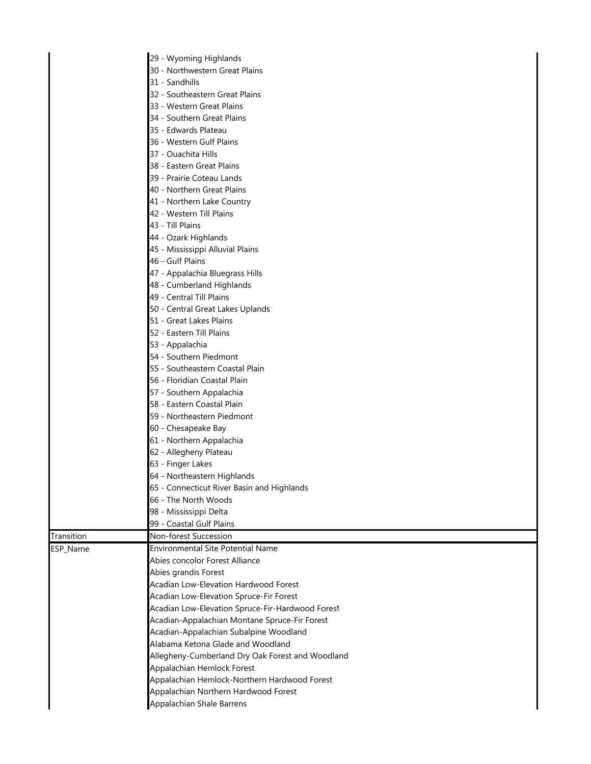|            | 29 - Wyoming Highlands                           |
|------------|--------------------------------------------------|
|            | 30 - Northwestern Great Plains                   |
|            | 31 - Sandhills                                   |
|            | 32 - Southeastern Great Plains                   |
|            | 33 - Western Great Plains                        |
|            | 34 - Southern Great Plains                       |
|            | 35 - Edwards Plateau                             |
|            | 36 - Western Gulf Plains                         |
|            | 37 - Ouachita Hills                              |
|            | 38 - Eastern Great Plains                        |
|            | 39 - Prairie Coteau Lands                        |
|            | 40 - Northern Great Plains                       |
|            | 41 - Northern Lake Country                       |
|            | 42 - Western Till Plains                         |
|            | 43 - Till Plains                                 |
|            | 44 - Ozark Highlands                             |
|            | 45 - Mississippi Alluvial Plains                 |
|            | 46 - Gulf Plains                                 |
|            | 47 - Appalachia Bluegrass Hills                  |
|            | 48 - Cumberland Highlands                        |
|            | 49 - Central Till Plains                         |
|            | 50 - Central Great Lakes Uplands                 |
|            | 51 - Great Lakes Plains                          |
|            | 52 - Eastern Till Plains                         |
|            | 53 - Appalachia                                  |
|            | 54 - Southern Piedmont                           |
|            | 55 - Southeastern Coastal Plain                  |
|            | 56 - Floridian Coastal Plain                     |
|            | 57 - Southern Appalachia                         |
|            | 58 - Eastern Coastal Plain                       |
|            | 59 - Northeastern Piedmont                       |
|            | 60 - Chesapeake Bay                              |
|            | 61 - Northern Appalachia                         |
|            | 62 - Allegheny Plateau                           |
|            | 63 - Finger Lakes                                |
|            | 64 - Northeastern Highlands                      |
|            | 65 - Connecticut River Basin and Highlands       |
|            | 66 - The North Woods                             |
|            | 98 - Mississippi Delta                           |
|            | 99 - Coastal Gulf Plains                         |
| Transition | Non-forest Succession                            |
| ESP_Name   | <b>Environmental Site Potential Name</b>         |
|            | Abies concolor Forest Alliance                   |
|            | Abies grandis Forest                             |
|            | Acadian Low-Elevation Hardwood Forest            |
|            | Acadian Low-Elevation Spruce-Fir Forest          |
|            | Acadian Low-Elevation Spruce-Fir-Hardwood Forest |
|            | Acadian-Appalachian Montane Spruce-Fir Forest    |
|            | Acadian-Appalachian Subalpine Woodland           |
|            | Alabama Ketona Glade and Woodland                |
|            | Allegheny-Cumberland Dry Oak Forest and Woodland |
|            | Appalachian Hemlock Forest                       |
|            | Appalachian Hemlock-Northern Hardwood Forest     |
|            | Appalachian Northern Hardwood Forest             |
|            | <b>Appalachian Shale Barrens</b>                 |
|            |                                                  |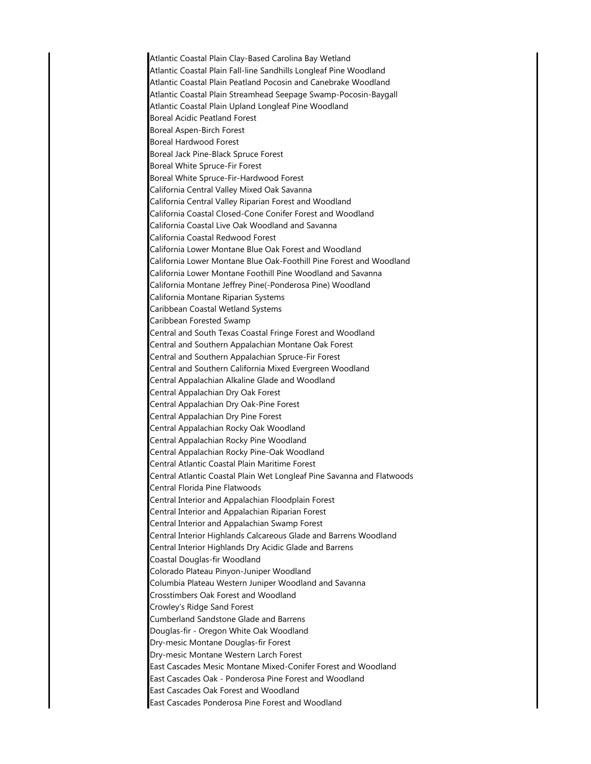Atlantic Coastal Plain Clay-Based Carolina Bay Wetland Atlantic Coastal Plain Fall-line Sandhills Longleaf Pine Woodland Atlantic Coastal Plain Peatland Pocosin and Canebrake Woodland Atlantic Coastal Plain Streamhead Seepage Swamp-Pocosin-Baygall Atlantic Coastal Plain Upland Longleaf Pine Woodland Boreal Acidic Peatland Forest Boreal Aspen-Birch Forest Boreal Hardwood Forest Boreal Jack Pine-Black Spruce Forest Boreal White Spruce-Fir Forest Boreal White Spruce-Fir-Hardwood Forest California Central Valley Mixed Oak Savanna California Central Valley Riparian Forest and Woodland California Coastal Closed-Cone Conifer Forest and Woodland California Coastal Live Oak Woodland and Savanna California Coastal Redwood Forest California Lower Montane Blue Oak Forest and Woodland California Lower Montane Blue Oak-Foothill Pine Forest and Woodland California Lower Montane Foothill Pine Woodland and Savanna California Montane Jeffrey Pine(-Ponderosa Pine) Woodland California Montane Riparian Systems Caribbean Coastal Wetland Systems Caribbean Forested Swamp Central and South Texas Coastal Fringe Forest and Woodland Central and Southern Appalachian Montane Oak Forest Central and Southern Appalachian Spruce-Fir Forest Central and Southern California Mixed Evergreen Woodland Central Appalachian Alkaline Glade and Woodland Central Appalachian Dry Oak Forest Central Appalachian Dry Oak-Pine Forest Central Appalachian Dry Pine Forest Central Appalachian Rocky Oak Woodland Central Appalachian Rocky Pine Woodland Central Appalachian Rocky Pine-Oak Woodland Central Atlantic Coastal Plain Maritime Forest Central Atlantic Coastal Plain Wet Longleaf Pine Savanna and Flatwoods Central Florida Pine Flatwoods Central Interior and Appalachian Floodplain Forest Central Interior and Appalachian Riparian Forest Central Interior and Appalachian Swamp Forest Central Interior Highlands Calcareous Glade and Barrens Woodland Central Interior Highlands Dry Acidic Glade and Barrens Coastal Douglas-fir Woodland Colorado Plateau Pinyon-Juniper Woodland Columbia Plateau Western Juniper Woodland and Savanna Crosstimbers Oak Forest and Woodland Crowley's Ridge Sand Forest Cumberland Sandstone Glade and Barrens Douglas-fir - Oregon White Oak Woodland Dry-mesic Montane Douglas-fir Forest Dry-mesic Montane Western Larch Forest East Cascades Mesic Montane Mixed-Conifer Forest and Woodland East Cascades Oak - Ponderosa Pine Forest and Woodland East Cascades Oak Forest and Woodland East Cascades Ponderosa Pine Forest and Woodland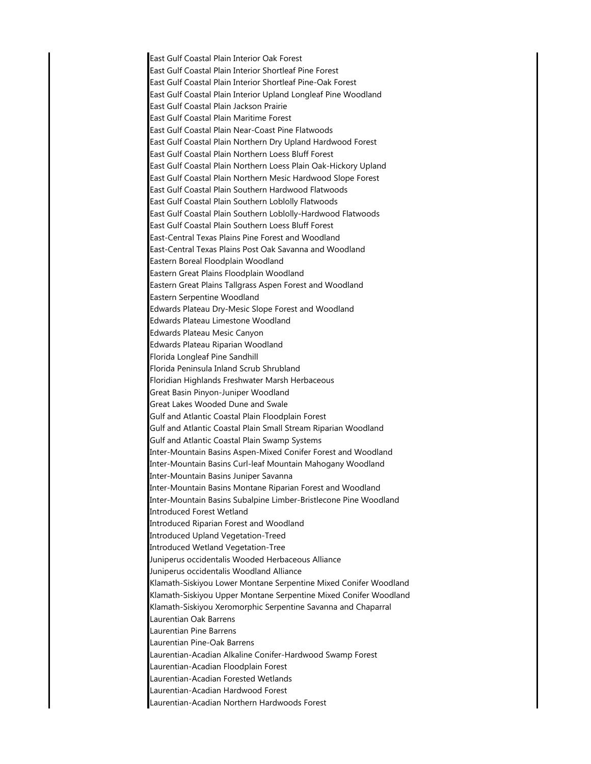East Gulf Coastal Plain Interior Oak Forest East Gulf Coastal Plain Interior Shortleaf Pine Forest East Gulf Coastal Plain Interior Shortleaf Pine-Oak Forest East Gulf Coastal Plain Interior Upland Longleaf Pine Woodland East Gulf Coastal Plain Jackson Prairie East Gulf Coastal Plain Maritime Forest East Gulf Coastal Plain Near-Coast Pine Flatwoods East Gulf Coastal Plain Northern Dry Upland Hardwood Forest East Gulf Coastal Plain Northern Loess Bluff Forest East Gulf Coastal Plain Northern Loess Plain Oak-Hickory Upland East Gulf Coastal Plain Northern Mesic Hardwood Slope Forest East Gulf Coastal Plain Southern Hardwood Flatwoods East Gulf Coastal Plain Southern Loblolly Flatwoods East Gulf Coastal Plain Southern Loblolly-Hardwood Flatwoods East Gulf Coastal Plain Southern Loess Bluff Forest East-Central Texas Plains Pine Forest and Woodland East-Central Texas Plains Post Oak Savanna and Woodland Eastern Boreal Floodplain Woodland Eastern Great Plains Floodplain Woodland Eastern Great Plains Tallgrass Aspen Forest and Woodland Eastern Serpentine Woodland Edwards Plateau Dry-Mesic Slope Forest and Woodland Edwards Plateau Limestone Woodland Edwards Plateau Mesic Canyon Edwards Plateau Riparian Woodland Florida Longleaf Pine Sandhill Florida Peninsula Inland Scrub Shrubland Floridian Highlands Freshwater Marsh Herbaceous Great Basin Pinyon-Juniper Woodland Great Lakes Wooded Dune and Swale Gulf and Atlantic Coastal Plain Floodplain Forest Gulf and Atlantic Coastal Plain Small Stream Riparian Woodland Gulf and Atlantic Coastal Plain Swamp Systems Inter-Mountain Basins Aspen-Mixed Conifer Forest and Woodland Inter-Mountain Basins Curl-leaf Mountain Mahogany Woodland Inter-Mountain Basins Juniper Savanna Inter-Mountain Basins Montane Riparian Forest and Woodland Inter-Mountain Basins Subalpine Limber-Bristlecone Pine Woodland Introduced Forest Wetland Introduced Riparian Forest and Woodland Introduced Upland Vegetation-Treed Introduced Wetland Vegetation-Tree Juniperus occidentalis Wooded Herbaceous Alliance Juniperus occidentalis Woodland Alliance Klamath-Siskiyou Lower Montane Serpentine Mixed Conifer Woodland Klamath-Siskiyou Upper Montane Serpentine Mixed Conifer Woodland Klamath-Siskiyou Xeromorphic Serpentine Savanna and Chaparral Laurentian Oak Barrens Laurentian Pine Barrens Laurentian Pine-Oak Barrens Laurentian-Acadian Alkaline Conifer-Hardwood Swamp Forest Laurentian-Acadian Floodplain Forest Laurentian-Acadian Forested Wetlands Laurentian-Acadian Hardwood Forest Laurentian-Acadian Northern Hardwoods Forest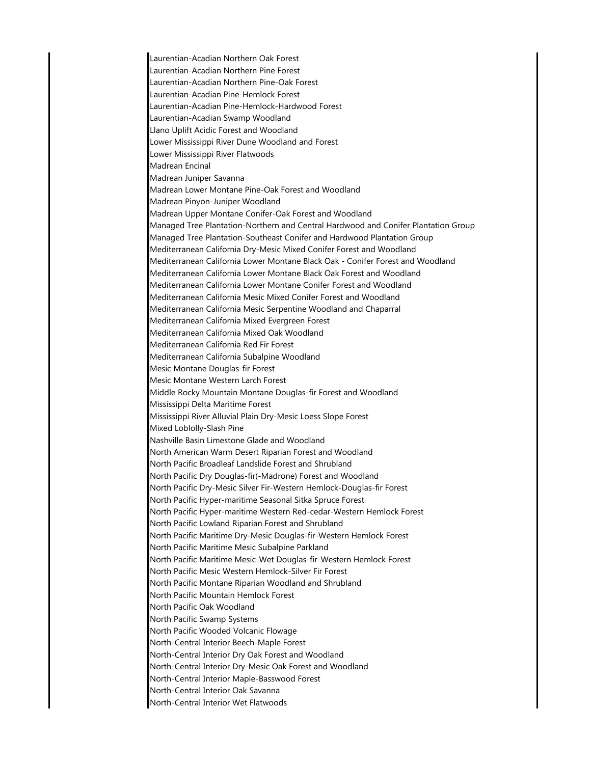Laurentian-Acadian Northern Oak Forest Laurentian-Acadian Northern Pine Forest Laurentian-Acadian Northern Pine-Oak Forest Laurentian-Acadian Pine-Hemlock Forest Laurentian-Acadian Pine-Hemlock-Hardwood Forest Laurentian-Acadian Swamp Woodland Llano Uplift Acidic Forest and Woodland Lower Mississippi River Dune Woodland and Forest Lower Mississippi River Flatwoods Madrean Encinal Madrean Juniper Savanna Madrean Lower Montane Pine-Oak Forest and Woodland Madrean Pinyon-Juniper Woodland Madrean Upper Montane Conifer-Oak Forest and Woodland Managed Tree Plantation-Northern and Central Hardwood and Conifer Plantation Group Managed Tree Plantation-Southeast Conifer and Hardwood Plantation Group Mediterranean California Dry-Mesic Mixed Conifer Forest and Woodland Mediterranean California Lower Montane Black Oak - Conifer Forest and Woodland Mediterranean California Lower Montane Black Oak Forest and Woodland Mediterranean California Lower Montane Conifer Forest and Woodland Mediterranean California Mesic Mixed Conifer Forest and Woodland Mediterranean California Mesic Serpentine Woodland and Chaparral Mediterranean California Mixed Evergreen Forest Mediterranean California Mixed Oak Woodland Mediterranean California Red Fir Forest Mediterranean California Subalpine Woodland Mesic Montane Douglas-fir Forest Mesic Montane Western Larch Forest Middle Rocky Mountain Montane Douglas-fir Forest and Woodland Mississippi Delta Maritime Forest Mississippi River Alluvial Plain Dry-Mesic Loess Slope Forest Mixed Loblolly-Slash Pine Nashville Basin Limestone Glade and Woodland North American Warm Desert Riparian Forest and Woodland North Pacific Broadleaf Landslide Forest and Shrubland North Pacific Dry Douglas-fir(-Madrone) Forest and Woodland North Pacific Dry-Mesic Silver Fir-Western Hemlock-Douglas-fir Forest North Pacific Hyper-maritime Seasonal Sitka Spruce Forest North Pacific Hyper-maritime Western Red-cedar-Western Hemlock Forest North Pacific Lowland Riparian Forest and Shrubland North Pacific Maritime Dry-Mesic Douglas-fir-Western Hemlock Forest North Pacific Maritime Mesic Subalpine Parkland North Pacific Maritime Mesic-Wet Douglas-fir-Western Hemlock Forest North Pacific Mesic Western Hemlock-Silver Fir Forest North Pacific Montane Riparian Woodland and Shrubland North Pacific Mountain Hemlock Forest North Pacific Oak Woodland North Pacific Swamp Systems North Pacific Wooded Volcanic Flowage North-Central Interior Beech-Maple Forest North-Central Interior Dry Oak Forest and Woodland North-Central Interior Dry-Mesic Oak Forest and Woodland North-Central Interior Maple-Basswood Forest North-Central Interior Oak Savanna North-Central Interior Wet Flatwoods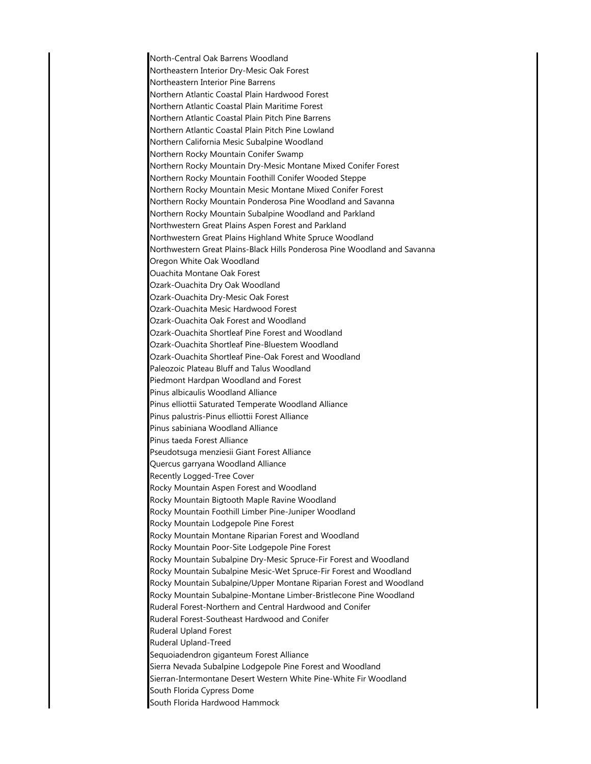North-Central Oak Barrens Woodland Northeastern Interior Dry-Mesic Oak Forest Northeastern Interior Pine Barrens Northern Atlantic Coastal Plain Hardwood Forest Northern Atlantic Coastal Plain Maritime Forest Northern Atlantic Coastal Plain Pitch Pine Barrens Northern Atlantic Coastal Plain Pitch Pine Lowland Northern California Mesic Subalpine Woodland Northern Rocky Mountain Conifer Swamp Northern Rocky Mountain Dry-Mesic Montane Mixed Conifer Forest Northern Rocky Mountain Foothill Conifer Wooded Steppe Northern Rocky Mountain Mesic Montane Mixed Conifer Forest Northern Rocky Mountain Ponderosa Pine Woodland and Savanna Northern Rocky Mountain Subalpine Woodland and Parkland Northwestern Great Plains Aspen Forest and Parkland Northwestern Great Plains Highland White Spruce Woodland Northwestern Great Plains-Black Hills Ponderosa Pine Woodland and Savanna Oregon White Oak Woodland Ouachita Montane Oak Forest Ozark-Ouachita Dry Oak Woodland Ozark-Ouachita Dry-Mesic Oak Forest Ozark-Ouachita Mesic Hardwood Forest Ozark-Ouachita Oak Forest and Woodland Ozark-Ouachita Shortleaf Pine Forest and Woodland Ozark-Ouachita Shortleaf Pine-Bluestem Woodland Ozark-Ouachita Shortleaf Pine-Oak Forest and Woodland Paleozoic Plateau Bluff and Talus Woodland Piedmont Hardpan Woodland and Forest Pinus albicaulis Woodland Alliance Pinus elliottii Saturated Temperate Woodland Alliance Pinus palustris-Pinus elliottii Forest Alliance Pinus sabiniana Woodland Alliance Pinus taeda Forest Alliance Pseudotsuga menziesii Giant Forest Alliance Quercus garryana Woodland Alliance Recently Logged-Tree Cover Rocky Mountain Aspen Forest and Woodland Rocky Mountain Bigtooth Maple Ravine Woodland Rocky Mountain Foothill Limber Pine-Juniper Woodland Rocky Mountain Lodgepole Pine Forest Rocky Mountain Montane Riparian Forest and Woodland Rocky Mountain Poor-Site Lodgepole Pine Forest Rocky Mountain Subalpine Dry-Mesic Spruce-Fir Forest and Woodland Rocky Mountain Subalpine Mesic-Wet Spruce-Fir Forest and Woodland Rocky Mountain Subalpine/Upper Montane Riparian Forest and Woodland Rocky Mountain Subalpine-Montane Limber-Bristlecone Pine Woodland Ruderal Forest-Northern and Central Hardwood and Conifer Ruderal Forest-Southeast Hardwood and Conifer Ruderal Upland Forest Ruderal Upland-Treed Sequoiadendron giganteum Forest Alliance Sierra Nevada Subalpine Lodgepole Pine Forest and Woodland Sierran-Intermontane Desert Western White Pine-White Fir Woodland South Florida Cypress Dome South Florida Hardwood Hammock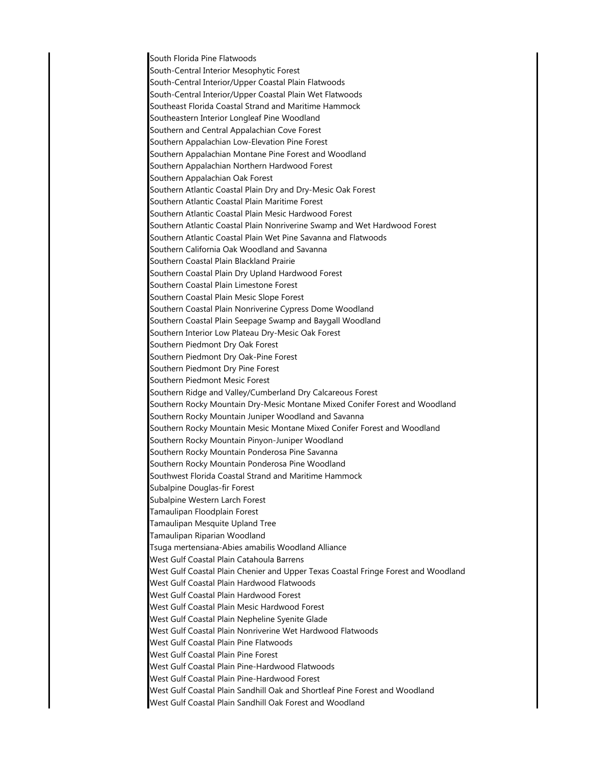South Florida Pine Flatwoods South-Central Interior Mesophytic Forest South-Central Interior/Upper Coastal Plain Flatwoods South-Central Interior/Upper Coastal Plain Wet Flatwoods Southeast Florida Coastal Strand and Maritime Hammock Southeastern Interior Longleaf Pine Woodland Southern and Central Appalachian Cove Forest Southern Appalachian Low-Elevation Pine Forest Southern Appalachian Montane Pine Forest and Woodland Southern Appalachian Northern Hardwood Forest Southern Appalachian Oak Forest Southern Atlantic Coastal Plain Dry and Dry-Mesic Oak Forest Southern Atlantic Coastal Plain Maritime Forest Southern Atlantic Coastal Plain Mesic Hardwood Forest Southern Atlantic Coastal Plain Nonriverine Swamp and Wet Hardwood Forest Southern Atlantic Coastal Plain Wet Pine Savanna and Flatwoods Southern California Oak Woodland and Savanna Southern Coastal Plain Blackland Prairie Southern Coastal Plain Dry Upland Hardwood Forest Southern Coastal Plain Limestone Forest Southern Coastal Plain Mesic Slope Forest Southern Coastal Plain Nonriverine Cypress Dome Woodland Southern Coastal Plain Seepage Swamp and Baygall Woodland Southern Interior Low Plateau Dry-Mesic Oak Forest Southern Piedmont Dry Oak Forest Southern Piedmont Dry Oak-Pine Forest Southern Piedmont Dry Pine Forest Southern Piedmont Mesic Forest Southern Ridge and Valley/Cumberland Dry Calcareous Forest Southern Rocky Mountain Dry-Mesic Montane Mixed Conifer Forest and Woodland Southern Rocky Mountain Juniper Woodland and Savanna Southern Rocky Mountain Mesic Montane Mixed Conifer Forest and Woodland Southern Rocky Mountain Pinyon-Juniper Woodland Southern Rocky Mountain Ponderosa Pine Savanna Southern Rocky Mountain Ponderosa Pine Woodland Southwest Florida Coastal Strand and Maritime Hammock Subalpine Douglas-fir Forest Subalpine Western Larch Forest Tamaulipan Floodplain Forest Tamaulipan Mesquite Upland Tree Tamaulipan Riparian Woodland Tsuga mertensiana-Abies amabilis Woodland Alliance West Gulf Coastal Plain Catahoula Barrens West Gulf Coastal Plain Chenier and Upper Texas Coastal Fringe Forest and Woodland West Gulf Coastal Plain Hardwood Flatwoods West Gulf Coastal Plain Hardwood Forest West Gulf Coastal Plain Mesic Hardwood Forest West Gulf Coastal Plain Nepheline Syenite Glade West Gulf Coastal Plain Nonriverine Wet Hardwood Flatwoods West Gulf Coastal Plain Pine Flatwoods West Gulf Coastal Plain Pine Forest West Gulf Coastal Plain Pine-Hardwood Flatwoods West Gulf Coastal Plain Pine-Hardwood Forest West Gulf Coastal Plain Sandhill Oak and Shortleaf Pine Forest and Woodland West Gulf Coastal Plain Sandhill Oak Forest and Woodland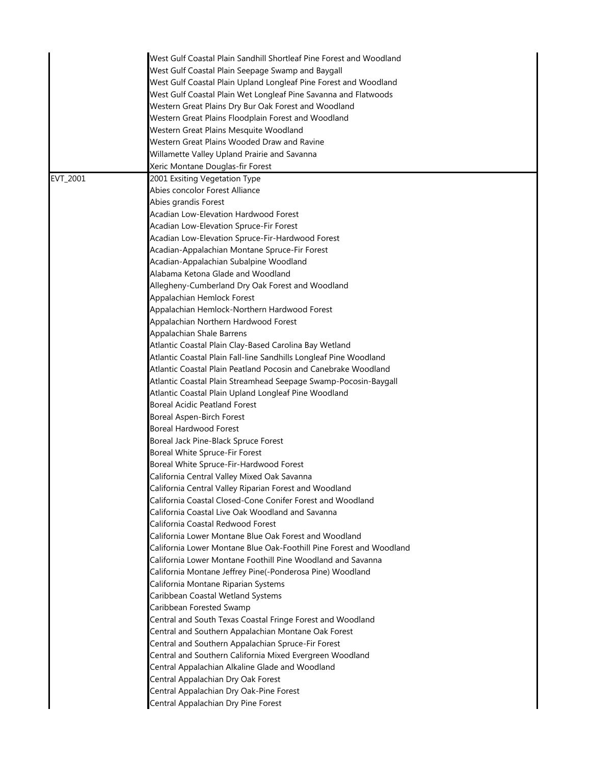|          | West Gulf Coastal Plain Sandhill Shortleaf Pine Forest and Woodland                                                  |
|----------|----------------------------------------------------------------------------------------------------------------------|
|          | West Gulf Coastal Plain Seepage Swamp and Baygall                                                                    |
|          | West Gulf Coastal Plain Upland Longleaf Pine Forest and Woodland                                                     |
|          | West Gulf Coastal Plain Wet Longleaf Pine Savanna and Flatwoods                                                      |
|          | Western Great Plains Dry Bur Oak Forest and Woodland                                                                 |
|          | Western Great Plains Floodplain Forest and Woodland                                                                  |
|          | Western Great Plains Mesquite Woodland                                                                               |
|          | Western Great Plains Wooded Draw and Ravine                                                                          |
|          | Willamette Valley Upland Prairie and Savanna                                                                         |
|          | Xeric Montane Douglas-fir Forest                                                                                     |
| EVT_2001 | 2001 Exsiting Vegetation Type                                                                                        |
|          | Abies concolor Forest Alliance                                                                                       |
|          | Abies grandis Forest                                                                                                 |
|          | Acadian Low-Elevation Hardwood Forest                                                                                |
|          | Acadian Low-Elevation Spruce-Fir Forest                                                                              |
|          | Acadian Low-Elevation Spruce-Fir-Hardwood Forest                                                                     |
|          | Acadian-Appalachian Montane Spruce-Fir Forest                                                                        |
|          | Acadian-Appalachian Subalpine Woodland                                                                               |
|          | Alabama Ketona Glade and Woodland                                                                                    |
|          | Allegheny-Cumberland Dry Oak Forest and Woodland                                                                     |
|          | Appalachian Hemlock Forest                                                                                           |
|          | Appalachian Hemlock-Northern Hardwood Forest                                                                         |
|          | Appalachian Northern Hardwood Forest                                                                                 |
|          | Appalachian Shale Barrens                                                                                            |
|          | Atlantic Coastal Plain Clay-Based Carolina Bay Wetland                                                               |
|          | Atlantic Coastal Plain Fall-line Sandhills Longleaf Pine Woodland                                                    |
|          | Atlantic Coastal Plain Peatland Pocosin and Canebrake Woodland                                                       |
|          | Atlantic Coastal Plain Streamhead Seepage Swamp-Pocosin-Baygall                                                      |
|          | Atlantic Coastal Plain Upland Longleaf Pine Woodland                                                                 |
|          | <b>Boreal Acidic Peatland Forest</b>                                                                                 |
|          | Boreal Aspen-Birch Forest                                                                                            |
|          | Boreal Hardwood Forest                                                                                               |
|          | Boreal Jack Pine-Black Spruce Forest                                                                                 |
|          | Boreal White Spruce-Fir Forest                                                                                       |
|          | Boreal White Spruce-Fir-Hardwood Forest                                                                              |
|          | California Central Valley Mixed Oak Savanna                                                                          |
|          |                                                                                                                      |
|          | California Central Valley Riparian Forest and Woodland<br>California Coastal Closed-Cone Conifer Forest and Woodland |
|          |                                                                                                                      |
|          | California Coastal Live Oak Woodland and Savanna                                                                     |
|          | California Coastal Redwood Forest                                                                                    |
|          | California Lower Montane Blue Oak Forest and Woodland                                                                |
|          | California Lower Montane Blue Oak-Foothill Pine Forest and Woodland                                                  |
|          | California Lower Montane Foothill Pine Woodland and Savanna                                                          |
|          | California Montane Jeffrey Pine(-Ponderosa Pine) Woodland                                                            |
|          | California Montane Riparian Systems                                                                                  |
|          | Caribbean Coastal Wetland Systems                                                                                    |
|          | Caribbean Forested Swamp                                                                                             |
|          | Central and South Texas Coastal Fringe Forest and Woodland                                                           |
|          | Central and Southern Appalachian Montane Oak Forest                                                                  |
|          | Central and Southern Appalachian Spruce-Fir Forest                                                                   |
|          | Central and Southern California Mixed Evergreen Woodland                                                             |
|          | Central Appalachian Alkaline Glade and Woodland                                                                      |
|          | Central Appalachian Dry Oak Forest                                                                                   |
|          | Central Appalachian Dry Oak-Pine Forest                                                                              |
|          | Central Appalachian Dry Pine Forest                                                                                  |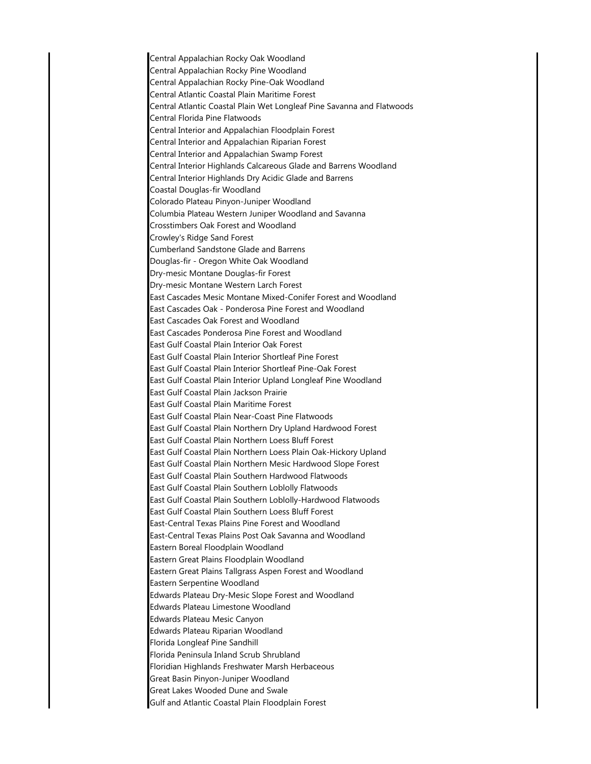Central Appalachian Rocky Oak Woodland Central Appalachian Rocky Pine Woodland Central Appalachian Rocky Pine-Oak Woodland Central Atlantic Coastal Plain Maritime Forest Central Atlantic Coastal Plain Wet Longleaf Pine Savanna and Flatwoods Central Florida Pine Flatwoods Central Interior and Appalachian Floodplain Forest Central Interior and Appalachian Riparian Forest Central Interior and Appalachian Swamp Forest Central Interior Highlands Calcareous Glade and Barrens Woodland Central Interior Highlands Dry Acidic Glade and Barrens Coastal Douglas-fir Woodland Colorado Plateau Pinyon-Juniper Woodland Columbia Plateau Western Juniper Woodland and Savanna Crosstimbers Oak Forest and Woodland Crowley's Ridge Sand Forest Cumberland Sandstone Glade and Barrens Douglas-fir - Oregon White Oak Woodland Dry-mesic Montane Douglas-fir Forest Dry-mesic Montane Western Larch Forest East Cascades Mesic Montane Mixed-Conifer Forest and Woodland East Cascades Oak - Ponderosa Pine Forest and Woodland East Cascades Oak Forest and Woodland East Cascades Ponderosa Pine Forest and Woodland East Gulf Coastal Plain Interior Oak Forest East Gulf Coastal Plain Interior Shortleaf Pine Forest East Gulf Coastal Plain Interior Shortleaf Pine-Oak Forest East Gulf Coastal Plain Interior Upland Longleaf Pine Woodland East Gulf Coastal Plain Jackson Prairie East Gulf Coastal Plain Maritime Forest East Gulf Coastal Plain Near-Coast Pine Flatwoods East Gulf Coastal Plain Northern Dry Upland Hardwood Forest East Gulf Coastal Plain Northern Loess Bluff Forest East Gulf Coastal Plain Northern Loess Plain Oak-Hickory Upland East Gulf Coastal Plain Northern Mesic Hardwood Slope Forest East Gulf Coastal Plain Southern Hardwood Flatwoods East Gulf Coastal Plain Southern Loblolly Flatwoods East Gulf Coastal Plain Southern Loblolly-Hardwood Flatwoods East Gulf Coastal Plain Southern Loess Bluff Forest East-Central Texas Plains Pine Forest and Woodland East-Central Texas Plains Post Oak Savanna and Woodland Eastern Boreal Floodplain Woodland Eastern Great Plains Floodplain Woodland Eastern Great Plains Tallgrass Aspen Forest and Woodland Eastern Serpentine Woodland Edwards Plateau Dry-Mesic Slope Forest and Woodland Edwards Plateau Limestone Woodland Edwards Plateau Mesic Canyon Edwards Plateau Riparian Woodland Florida Longleaf Pine Sandhill Florida Peninsula Inland Scrub Shrubland Floridian Highlands Freshwater Marsh Herbaceous Great Basin Pinyon-Juniper Woodland Great Lakes Wooded Dune and Swale Gulf and Atlantic Coastal Plain Floodplain Forest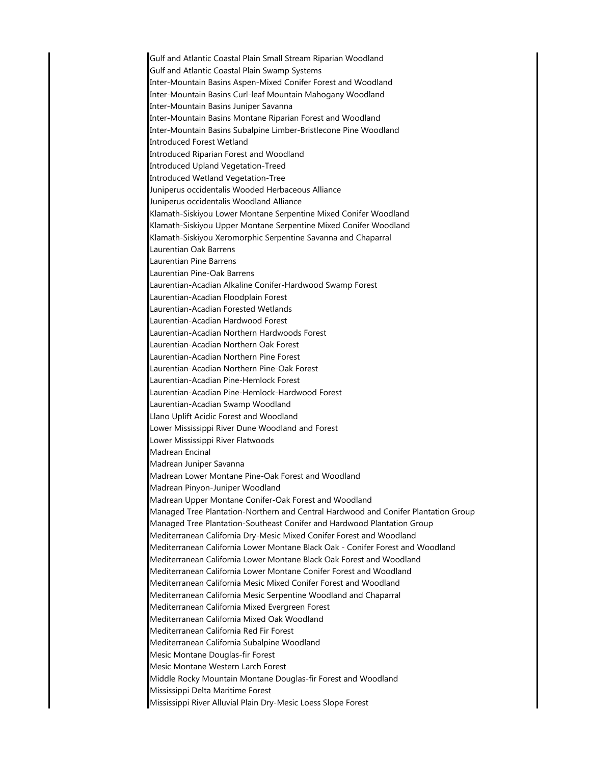Gulf and Atlantic Coastal Plain Small Stream Riparian Woodland Gulf and Atlantic Coastal Plain Swamp Systems Inter-Mountain Basins Aspen-Mixed Conifer Forest and Woodland Inter-Mountain Basins Curl-leaf Mountain Mahogany Woodland Inter-Mountain Basins Juniper Savanna Inter-Mountain Basins Montane Riparian Forest and Woodland Inter-Mountain Basins Subalpine Limber-Bristlecone Pine Woodland Introduced Forest Wetland Introduced Riparian Forest and Woodland Introduced Upland Vegetation-Treed Introduced Wetland Vegetation-Tree Juniperus occidentalis Wooded Herbaceous Alliance Juniperus occidentalis Woodland Alliance Klamath-Siskiyou Lower Montane Serpentine Mixed Conifer Woodland Klamath-Siskiyou Upper Montane Serpentine Mixed Conifer Woodland Klamath-Siskiyou Xeromorphic Serpentine Savanna and Chaparral Laurentian Oak Barrens Laurentian Pine Barrens Laurentian Pine-Oak Barrens Laurentian-Acadian Alkaline Conifer-Hardwood Swamp Forest Laurentian-Acadian Floodplain Forest Laurentian-Acadian Forested Wetlands Laurentian-Acadian Hardwood Forest Laurentian-Acadian Northern Hardwoods Forest Laurentian-Acadian Northern Oak Forest Laurentian-Acadian Northern Pine Forest Laurentian-Acadian Northern Pine-Oak Forest Laurentian-Acadian Pine-Hemlock Forest Laurentian-Acadian Pine-Hemlock-Hardwood Forest Laurentian-Acadian Swamp Woodland Llano Uplift Acidic Forest and Woodland Lower Mississippi River Dune Woodland and Forest Lower Mississippi River Flatwoods Madrean Encinal Madrean Juniper Savanna Madrean Lower Montane Pine-Oak Forest and Woodland Madrean Pinyon-Juniper Woodland Madrean Upper Montane Conifer-Oak Forest and Woodland Managed Tree Plantation-Northern and Central Hardwood and Conifer Plantation Group Managed Tree Plantation-Southeast Conifer and Hardwood Plantation Group Mediterranean California Dry-Mesic Mixed Conifer Forest and Woodland Mediterranean California Lower Montane Black Oak - Conifer Forest and Woodland Mediterranean California Lower Montane Black Oak Forest and Woodland Mediterranean California Lower Montane Conifer Forest and Woodland Mediterranean California Mesic Mixed Conifer Forest and Woodland Mediterranean California Mesic Serpentine Woodland and Chaparral Mediterranean California Mixed Evergreen Forest Mediterranean California Mixed Oak Woodland Mediterranean California Red Fir Forest Mediterranean California Subalpine Woodland Mesic Montane Douglas-fir Forest Mesic Montane Western Larch Forest Middle Rocky Mountain Montane Douglas-fir Forest and Woodland Mississippi Delta Maritime Forest Mississippi River Alluvial Plain Dry-Mesic Loess Slope Forest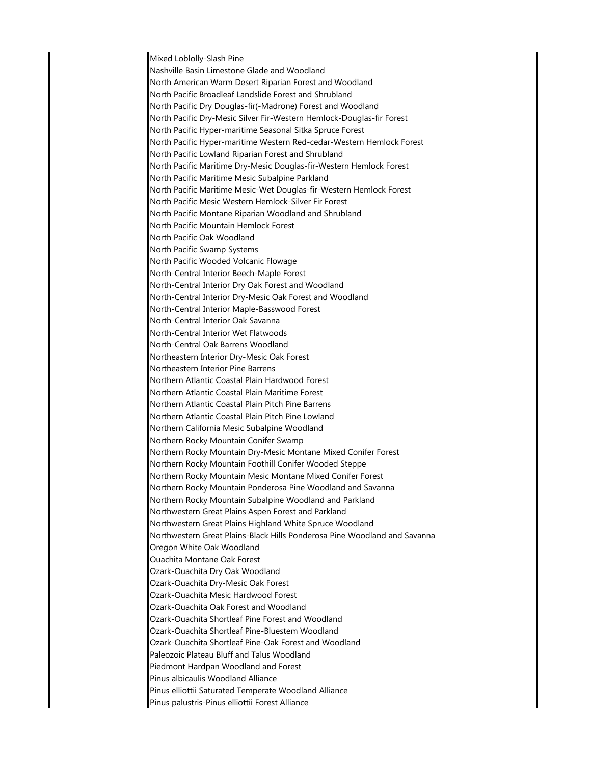Mixed Loblolly-Slash Pine Nashville Basin Limestone Glade and Woodland North American Warm Desert Riparian Forest and Woodland North Pacific Broadleaf Landslide Forest and Shrubland North Pacific Dry Douglas-fir(-Madrone) Forest and Woodland North Pacific Dry-Mesic Silver Fir-Western Hemlock-Douglas-fir Forest North Pacific Hyper-maritime Seasonal Sitka Spruce Forest North Pacific Hyper-maritime Western Red-cedar-Western Hemlock Forest North Pacific Lowland Riparian Forest and Shrubland North Pacific Maritime Dry-Mesic Douglas-fir-Western Hemlock Forest North Pacific Maritime Mesic Subalpine Parkland North Pacific Maritime Mesic-Wet Douglas-fir-Western Hemlock Forest North Pacific Mesic Western Hemlock-Silver Fir Forest North Pacific Montane Riparian Woodland and Shrubland North Pacific Mountain Hemlock Forest North Pacific Oak Woodland North Pacific Swamp Systems North Pacific Wooded Volcanic Flowage North-Central Interior Beech-Maple Forest North-Central Interior Dry Oak Forest and Woodland North-Central Interior Dry-Mesic Oak Forest and Woodland North-Central Interior Maple-Basswood Forest North-Central Interior Oak Savanna North-Central Interior Wet Flatwoods North-Central Oak Barrens Woodland Northeastern Interior Dry-Mesic Oak Forest Northeastern Interior Pine Barrens Northern Atlantic Coastal Plain Hardwood Forest Northern Atlantic Coastal Plain Maritime Forest Northern Atlantic Coastal Plain Pitch Pine Barrens Northern Atlantic Coastal Plain Pitch Pine Lowland Northern California Mesic Subalpine Woodland Northern Rocky Mountain Conifer Swamp Northern Rocky Mountain Dry-Mesic Montane Mixed Conifer Forest Northern Rocky Mountain Foothill Conifer Wooded Steppe Northern Rocky Mountain Mesic Montane Mixed Conifer Forest Northern Rocky Mountain Ponderosa Pine Woodland and Savanna Northern Rocky Mountain Subalpine Woodland and Parkland Northwestern Great Plains Aspen Forest and Parkland Northwestern Great Plains Highland White Spruce Woodland Northwestern Great Plains-Black Hills Ponderosa Pine Woodland and Savanna Oregon White Oak Woodland Ouachita Montane Oak Forest Ozark-Ouachita Dry Oak Woodland Ozark-Ouachita Dry-Mesic Oak Forest Ozark-Ouachita Mesic Hardwood Forest Ozark-Ouachita Oak Forest and Woodland Ozark-Ouachita Shortleaf Pine Forest and Woodland Ozark-Ouachita Shortleaf Pine-Bluestem Woodland Ozark-Ouachita Shortleaf Pine-Oak Forest and Woodland Paleozoic Plateau Bluff and Talus Woodland Piedmont Hardpan Woodland and Forest Pinus albicaulis Woodland Alliance Pinus elliottii Saturated Temperate Woodland Alliance Pinus palustris-Pinus elliottii Forest Alliance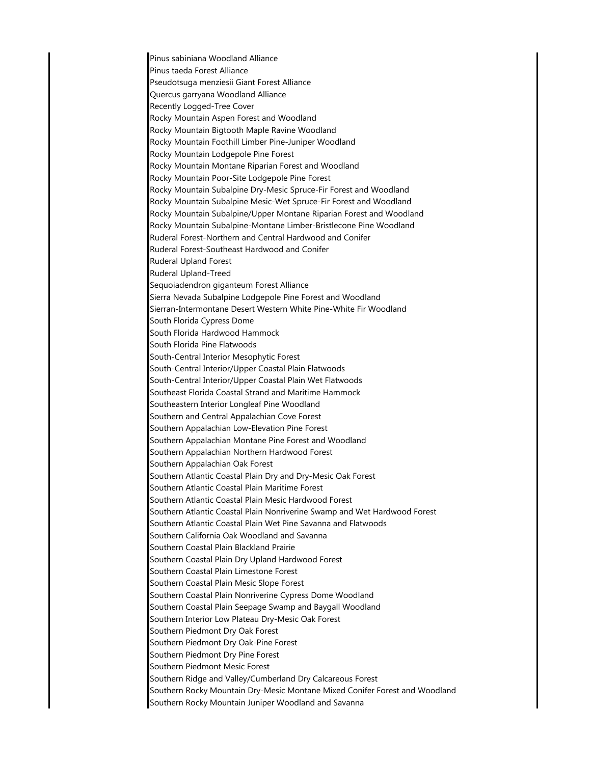Pinus sabiniana Woodland Alliance Pinus taeda Forest Alliance Pseudotsuga menziesii Giant Forest Alliance Quercus garryana Woodland Alliance Recently Logged-Tree Cover Rocky Mountain Aspen Forest and Woodland Rocky Mountain Bigtooth Maple Ravine Woodland Rocky Mountain Foothill Limber Pine-Juniper Woodland Rocky Mountain Lodgepole Pine Forest Rocky Mountain Montane Riparian Forest and Woodland Rocky Mountain Poor-Site Lodgepole Pine Forest Rocky Mountain Subalpine Dry-Mesic Spruce-Fir Forest and Woodland Rocky Mountain Subalpine Mesic-Wet Spruce-Fir Forest and Woodland Rocky Mountain Subalpine/Upper Montane Riparian Forest and Woodland Rocky Mountain Subalpine-Montane Limber-Bristlecone Pine Woodland Ruderal Forest-Northern and Central Hardwood and Conifer Ruderal Forest-Southeast Hardwood and Conifer Ruderal Upland Forest Ruderal Upland-Treed Sequoiadendron giganteum Forest Alliance Sierra Nevada Subalpine Lodgepole Pine Forest and Woodland Sierran-Intermontane Desert Western White Pine-White Fir Woodland South Florida Cypress Dome South Florida Hardwood Hammock South Florida Pine Flatwoods South-Central Interior Mesophytic Forest South-Central Interior/Upper Coastal Plain Flatwoods South-Central Interior/Upper Coastal Plain Wet Flatwoods Southeast Florida Coastal Strand and Maritime Hammock Southeastern Interior Longleaf Pine Woodland Southern and Central Appalachian Cove Forest Southern Appalachian Low-Elevation Pine Forest Southern Appalachian Montane Pine Forest and Woodland Southern Appalachian Northern Hardwood Forest Southern Appalachian Oak Forest Southern Atlantic Coastal Plain Dry and Dry-Mesic Oak Forest Southern Atlantic Coastal Plain Maritime Forest Southern Atlantic Coastal Plain Mesic Hardwood Forest Southern Atlantic Coastal Plain Nonriverine Swamp and Wet Hardwood Forest Southern Atlantic Coastal Plain Wet Pine Savanna and Flatwoods Southern California Oak Woodland and Savanna Southern Coastal Plain Blackland Prairie Southern Coastal Plain Dry Upland Hardwood Forest Southern Coastal Plain Limestone Forest Southern Coastal Plain Mesic Slope Forest Southern Coastal Plain Nonriverine Cypress Dome Woodland Southern Coastal Plain Seepage Swamp and Baygall Woodland Southern Interior Low Plateau Dry-Mesic Oak Forest Southern Piedmont Dry Oak Forest Southern Piedmont Dry Oak-Pine Forest Southern Piedmont Dry Pine Forest Southern Piedmont Mesic Forest Southern Ridge and Valley/Cumberland Dry Calcareous Forest Southern Rocky Mountain Dry-Mesic Montane Mixed Conifer Forest and Woodland Southern Rocky Mountain Juniper Woodland and Savanna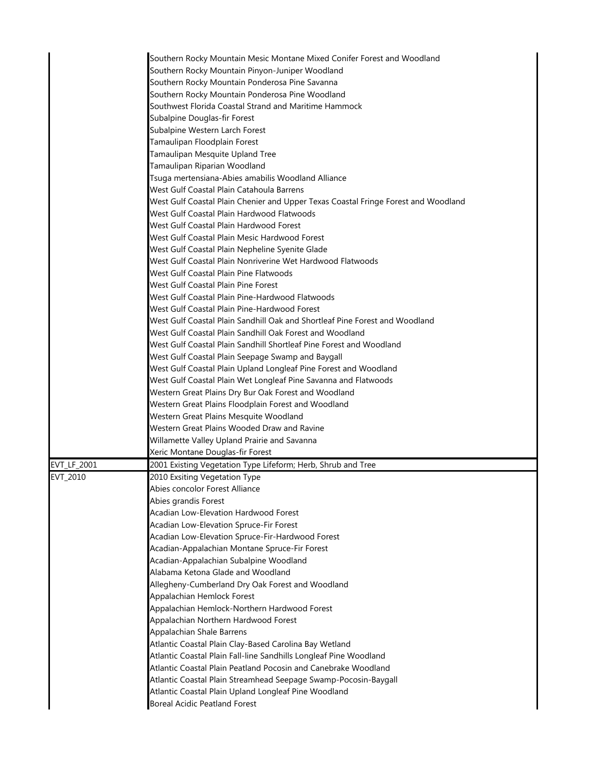|             | Southern Rocky Mountain Mesic Montane Mixed Conifer Forest and Woodland            |
|-------------|------------------------------------------------------------------------------------|
|             | Southern Rocky Mountain Pinyon-Juniper Woodland                                    |
|             | Southern Rocky Mountain Ponderosa Pine Savanna                                     |
|             | Southern Rocky Mountain Ponderosa Pine Woodland                                    |
|             | Southwest Florida Coastal Strand and Maritime Hammock                              |
|             | Subalpine Douglas-fir Forest                                                       |
|             | Subalpine Western Larch Forest                                                     |
|             | Tamaulipan Floodplain Forest                                                       |
|             | Tamaulipan Mesquite Upland Tree                                                    |
|             | Tamaulipan Riparian Woodland                                                       |
|             | Tsuga mertensiana-Abies amabilis Woodland Alliance                                 |
|             | West Gulf Coastal Plain Catahoula Barrens                                          |
|             | West Gulf Coastal Plain Chenier and Upper Texas Coastal Fringe Forest and Woodland |
|             | West Gulf Coastal Plain Hardwood Flatwoods                                         |
|             | West Gulf Coastal Plain Hardwood Forest                                            |
|             | West Gulf Coastal Plain Mesic Hardwood Forest                                      |
|             | West Gulf Coastal Plain Nepheline Syenite Glade                                    |
|             | West Gulf Coastal Plain Nonriverine Wet Hardwood Flatwoods                         |
|             | West Gulf Coastal Plain Pine Flatwoods                                             |
|             | West Gulf Coastal Plain Pine Forest                                                |
|             | West Gulf Coastal Plain Pine-Hardwood Flatwoods                                    |
|             | West Gulf Coastal Plain Pine-Hardwood Forest                                       |
|             | West Gulf Coastal Plain Sandhill Oak and Shortleaf Pine Forest and Woodland        |
|             | West Gulf Coastal Plain Sandhill Oak Forest and Woodland                           |
|             | West Gulf Coastal Plain Sandhill Shortleaf Pine Forest and Woodland                |
|             | West Gulf Coastal Plain Seepage Swamp and Baygall                                  |
|             | West Gulf Coastal Plain Upland Longleaf Pine Forest and Woodland                   |
|             | West Gulf Coastal Plain Wet Longleaf Pine Savanna and Flatwoods                    |
|             | Western Great Plains Dry Bur Oak Forest and Woodland                               |
|             | Western Great Plains Floodplain Forest and Woodland                                |
|             | Western Great Plains Mesquite Woodland                                             |
|             | Western Great Plains Wooded Draw and Ravine                                        |
|             | Willamette Valley Upland Prairie and Savanna                                       |
|             | Xeric Montane Douglas-fir Forest                                                   |
| EVT_LF_2001 | 2001 Existing Vegetation Type Lifeform; Herb, Shrub and Tree                       |
| EVT_2010    | 2010 Exsiting Vegetation Type                                                      |
|             | Abies concolor Forest Alliance                                                     |
|             | Abies grandis Forest                                                               |
|             | Acadian Low-Elevation Hardwood Forest                                              |
|             | Acadian Low-Elevation Spruce-Fir Forest                                            |
|             | Acadian Low-Elevation Spruce-Fir-Hardwood Forest                                   |
|             | Acadian-Appalachian Montane Spruce-Fir Forest                                      |
|             | Acadian-Appalachian Subalpine Woodland                                             |
|             | Alabama Ketona Glade and Woodland                                                  |
|             | Allegheny-Cumberland Dry Oak Forest and Woodland                                   |
|             | Appalachian Hemlock Forest                                                         |
|             | Appalachian Hemlock-Northern Hardwood Forest                                       |
|             | Appalachian Northern Hardwood Forest                                               |
|             | Appalachian Shale Barrens                                                          |
|             | Atlantic Coastal Plain Clay-Based Carolina Bay Wetland                             |
|             | Atlantic Coastal Plain Fall-line Sandhills Longleaf Pine Woodland                  |
|             | Atlantic Coastal Plain Peatland Pocosin and Canebrake Woodland                     |
|             | Atlantic Coastal Plain Streamhead Seepage Swamp-Pocosin-Baygall                    |
|             | Atlantic Coastal Plain Upland Longleaf Pine Woodland                               |
|             | <b>Boreal Acidic Peatland Forest</b>                                               |
|             |                                                                                    |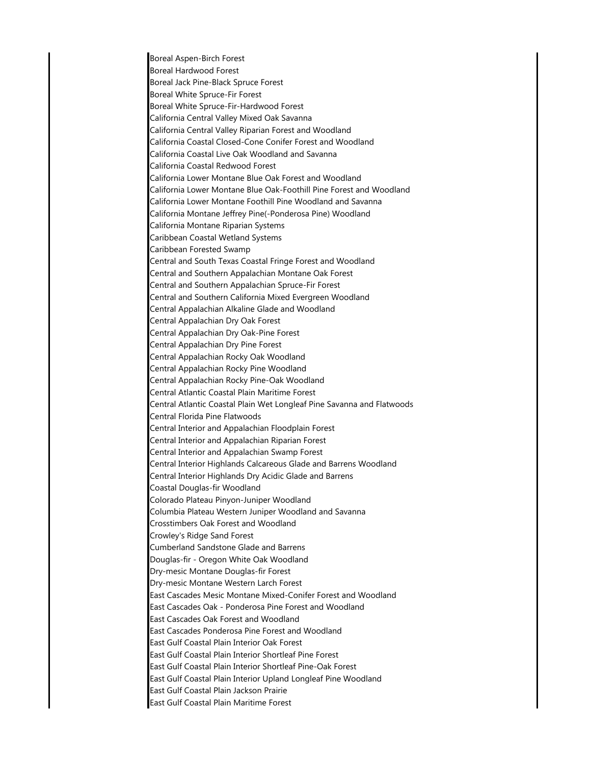Boreal Aspen-Birch Forest Boreal Hardwood Forest Boreal Jack Pine-Black Spruce Forest Boreal White Spruce-Fir Forest Boreal White Spruce-Fir-Hardwood Forest California Central Valley Mixed Oak Savanna California Central Valley Riparian Forest and Woodland California Coastal Closed-Cone Conifer Forest and Woodland California Coastal Live Oak Woodland and Savanna California Coastal Redwood Forest California Lower Montane Blue Oak Forest and Woodland California Lower Montane Blue Oak-Foothill Pine Forest and Woodland California Lower Montane Foothill Pine Woodland and Savanna California Montane Jeffrey Pine(-Ponderosa Pine) Woodland California Montane Riparian Systems Caribbean Coastal Wetland Systems Caribbean Forested Swamp Central and South Texas Coastal Fringe Forest and Woodland Central and Southern Appalachian Montane Oak Forest Central and Southern Appalachian Spruce-Fir Forest Central and Southern California Mixed Evergreen Woodland Central Appalachian Alkaline Glade and Woodland Central Appalachian Dry Oak Forest Central Appalachian Dry Oak-Pine Forest Central Appalachian Dry Pine Forest Central Appalachian Rocky Oak Woodland Central Appalachian Rocky Pine Woodland Central Appalachian Rocky Pine-Oak Woodland Central Atlantic Coastal Plain Maritime Forest Central Atlantic Coastal Plain Wet Longleaf Pine Savanna and Flatwoods Central Florida Pine Flatwoods Central Interior and Appalachian Floodplain Forest Central Interior and Appalachian Riparian Forest Central Interior and Appalachian Swamp Forest Central Interior Highlands Calcareous Glade and Barrens Woodland Central Interior Highlands Dry Acidic Glade and Barrens Coastal Douglas-fir Woodland Colorado Plateau Pinyon-Juniper Woodland Columbia Plateau Western Juniper Woodland and Savanna Crosstimbers Oak Forest and Woodland Crowley's Ridge Sand Forest Cumberland Sandstone Glade and Barrens Douglas-fir - Oregon White Oak Woodland Dry-mesic Montane Douglas-fir Forest Dry-mesic Montane Western Larch Forest East Cascades Mesic Montane Mixed-Conifer Forest and Woodland East Cascades Oak - Ponderosa Pine Forest and Woodland East Cascades Oak Forest and Woodland East Cascades Ponderosa Pine Forest and Woodland East Gulf Coastal Plain Interior Oak Forest East Gulf Coastal Plain Interior Shortleaf Pine Forest East Gulf Coastal Plain Interior Shortleaf Pine-Oak Forest East Gulf Coastal Plain Interior Upland Longleaf Pine Woodland East Gulf Coastal Plain Jackson Prairie East Gulf Coastal Plain Maritime Forest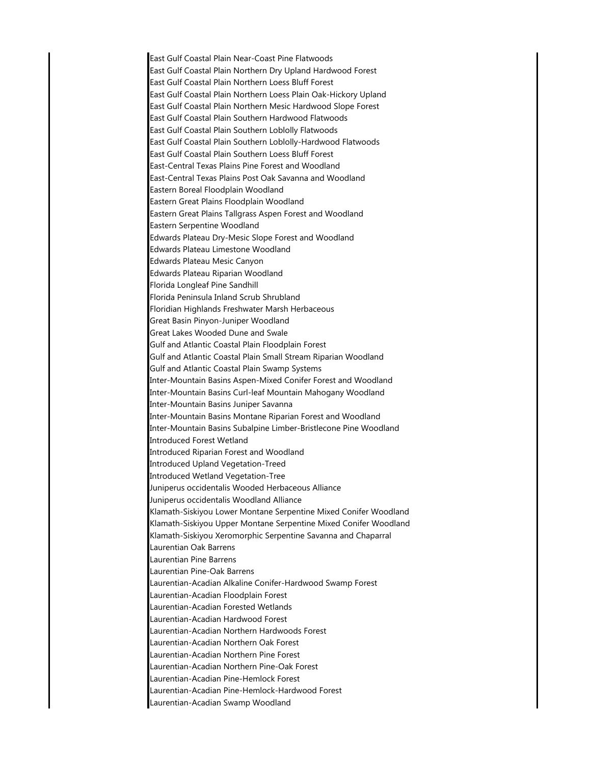East Gulf Coastal Plain Near-Coast Pine Flatwoods East Gulf Coastal Plain Northern Dry Upland Hardwood Forest East Gulf Coastal Plain Northern Loess Bluff Forest East Gulf Coastal Plain Northern Loess Plain Oak-Hickory Upland East Gulf Coastal Plain Northern Mesic Hardwood Slope Forest East Gulf Coastal Plain Southern Hardwood Flatwoods East Gulf Coastal Plain Southern Loblolly Flatwoods East Gulf Coastal Plain Southern Loblolly-Hardwood Flatwoods East Gulf Coastal Plain Southern Loess Bluff Forest East-Central Texas Plains Pine Forest and Woodland East-Central Texas Plains Post Oak Savanna and Woodland Eastern Boreal Floodplain Woodland Eastern Great Plains Floodplain Woodland Eastern Great Plains Tallgrass Aspen Forest and Woodland Eastern Serpentine Woodland Edwards Plateau Dry-Mesic Slope Forest and Woodland Edwards Plateau Limestone Woodland Edwards Plateau Mesic Canyon Edwards Plateau Riparian Woodland Florida Longleaf Pine Sandhill Florida Peninsula Inland Scrub Shrubland Floridian Highlands Freshwater Marsh Herbaceous Great Basin Pinyon-Juniper Woodland Great Lakes Wooded Dune and Swale Gulf and Atlantic Coastal Plain Floodplain Forest Gulf and Atlantic Coastal Plain Small Stream Riparian Woodland Gulf and Atlantic Coastal Plain Swamp Systems Inter-Mountain Basins Aspen-Mixed Conifer Forest and Woodland Inter-Mountain Basins Curl-leaf Mountain Mahogany Woodland Inter-Mountain Basins Juniper Savanna Inter-Mountain Basins Montane Riparian Forest and Woodland Inter-Mountain Basins Subalpine Limber-Bristlecone Pine Woodland Introduced Forest Wetland Introduced Riparian Forest and Woodland Introduced Upland Vegetation-Treed Introduced Wetland Vegetation-Tree Juniperus occidentalis Wooded Herbaceous Alliance Juniperus occidentalis Woodland Alliance Klamath-Siskiyou Lower Montane Serpentine Mixed Conifer Woodland Klamath-Siskiyou Upper Montane Serpentine Mixed Conifer Woodland Klamath-Siskiyou Xeromorphic Serpentine Savanna and Chaparral Laurentian Oak Barrens Laurentian Pine Barrens Laurentian Pine-Oak Barrens Laurentian-Acadian Alkaline Conifer-Hardwood Swamp Forest Laurentian-Acadian Floodplain Forest Laurentian-Acadian Forested Wetlands Laurentian-Acadian Hardwood Forest Laurentian-Acadian Northern Hardwoods Forest Laurentian-Acadian Northern Oak Forest Laurentian-Acadian Northern Pine Forest Laurentian-Acadian Northern Pine-Oak Forest Laurentian-Acadian Pine-Hemlock Forest Laurentian-Acadian Pine-Hemlock-Hardwood Forest Laurentian-Acadian Swamp Woodland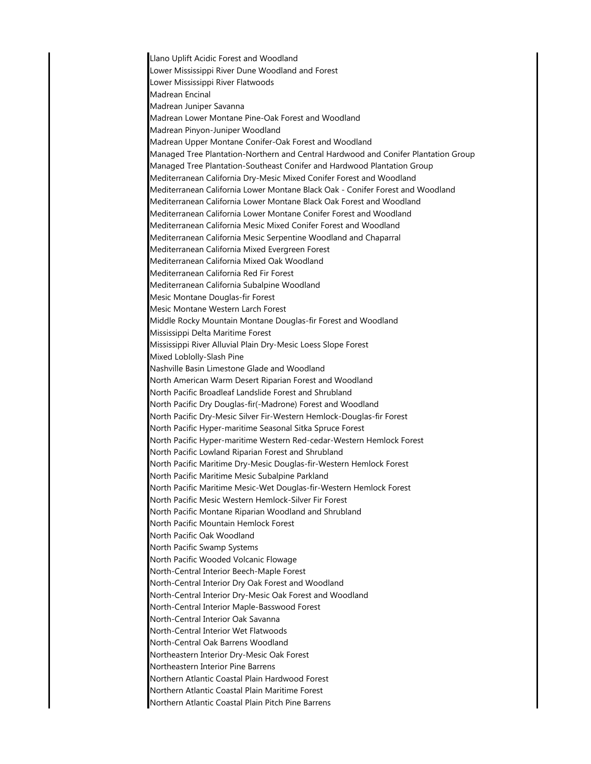Llano Uplift Acidic Forest and Woodland Lower Mississippi River Dune Woodland and Forest Lower Mississippi River Flatwoods Madrean Encinal Madrean Juniper Savanna Madrean Lower Montane Pine-Oak Forest and Woodland Madrean Pinyon-Juniper Woodland Madrean Upper Montane Conifer-Oak Forest and Woodland Managed Tree Plantation-Northern and Central Hardwood and Conifer Plantation Group Managed Tree Plantation-Southeast Conifer and Hardwood Plantation Group Mediterranean California Dry-Mesic Mixed Conifer Forest and Woodland Mediterranean California Lower Montane Black Oak - Conifer Forest and Woodland Mediterranean California Lower Montane Black Oak Forest and Woodland Mediterranean California Lower Montane Conifer Forest and Woodland Mediterranean California Mesic Mixed Conifer Forest and Woodland Mediterranean California Mesic Serpentine Woodland and Chaparral Mediterranean California Mixed Evergreen Forest Mediterranean California Mixed Oak Woodland Mediterranean California Red Fir Forest Mediterranean California Subalpine Woodland Mesic Montane Douglas-fir Forest Mesic Montane Western Larch Forest Middle Rocky Mountain Montane Douglas-fir Forest and Woodland Mississippi Delta Maritime Forest Mississippi River Alluvial Plain Dry-Mesic Loess Slope Forest Mixed Loblolly-Slash Pine Nashville Basin Limestone Glade and Woodland North American Warm Desert Riparian Forest and Woodland North Pacific Broadleaf Landslide Forest and Shrubland North Pacific Dry Douglas-fir(-Madrone) Forest and Woodland North Pacific Dry-Mesic Silver Fir-Western Hemlock-Douglas-fir Forest North Pacific Hyper-maritime Seasonal Sitka Spruce Forest North Pacific Hyper-maritime Western Red-cedar-Western Hemlock Forest North Pacific Lowland Riparian Forest and Shrubland North Pacific Maritime Dry-Mesic Douglas-fir-Western Hemlock Forest North Pacific Maritime Mesic Subalpine Parkland North Pacific Maritime Mesic-Wet Douglas-fir-Western Hemlock Forest North Pacific Mesic Western Hemlock-Silver Fir Forest North Pacific Montane Riparian Woodland and Shrubland North Pacific Mountain Hemlock Forest North Pacific Oak Woodland North Pacific Swamp Systems North Pacific Wooded Volcanic Flowage North-Central Interior Beech-Maple Forest North-Central Interior Dry Oak Forest and Woodland North-Central Interior Dry-Mesic Oak Forest and Woodland North-Central Interior Maple-Basswood Forest North-Central Interior Oak Savanna North-Central Interior Wet Flatwoods North-Central Oak Barrens Woodland Northeastern Interior Dry-Mesic Oak Forest Northeastern Interior Pine Barrens Northern Atlantic Coastal Plain Hardwood Forest Northern Atlantic Coastal Plain Maritime Forest Northern Atlantic Coastal Plain Pitch Pine Barrens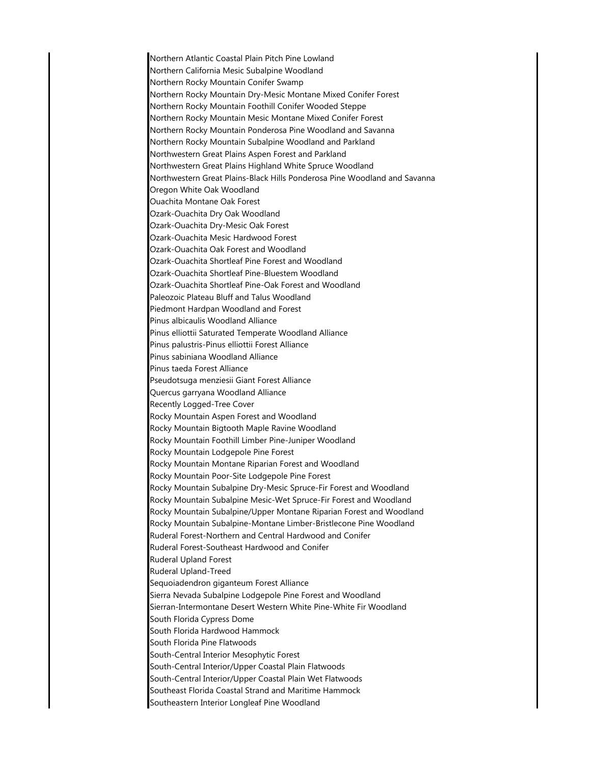Northern Atlantic Coastal Plain Pitch Pine Lowland Northern California Mesic Subalpine Woodland Northern Rocky Mountain Conifer Swamp Northern Rocky Mountain Dry-Mesic Montane Mixed Conifer Forest Northern Rocky Mountain Foothill Conifer Wooded Steppe Northern Rocky Mountain Mesic Montane Mixed Conifer Forest Northern Rocky Mountain Ponderosa Pine Woodland and Savanna Northern Rocky Mountain Subalpine Woodland and Parkland Northwestern Great Plains Aspen Forest and Parkland Northwestern Great Plains Highland White Spruce Woodland Northwestern Great Plains-Black Hills Ponderosa Pine Woodland and Savanna Oregon White Oak Woodland Ouachita Montane Oak Forest Ozark-Ouachita Dry Oak Woodland Ozark-Ouachita Dry-Mesic Oak Forest Ozark-Ouachita Mesic Hardwood Forest Ozark-Ouachita Oak Forest and Woodland Ozark-Ouachita Shortleaf Pine Forest and Woodland Ozark-Ouachita Shortleaf Pine-Bluestem Woodland Ozark-Ouachita Shortleaf Pine-Oak Forest and Woodland Paleozoic Plateau Bluff and Talus Woodland Piedmont Hardpan Woodland and Forest Pinus albicaulis Woodland Alliance Pinus elliottii Saturated Temperate Woodland Alliance Pinus palustris-Pinus elliottii Forest Alliance Pinus sabiniana Woodland Alliance Pinus taeda Forest Alliance Pseudotsuga menziesii Giant Forest Alliance Quercus garryana Woodland Alliance Recently Logged-Tree Cover Rocky Mountain Aspen Forest and Woodland Rocky Mountain Bigtooth Maple Ravine Woodland Rocky Mountain Foothill Limber Pine-Juniper Woodland Rocky Mountain Lodgepole Pine Forest Rocky Mountain Montane Riparian Forest and Woodland Rocky Mountain Poor-Site Lodgepole Pine Forest Rocky Mountain Subalpine Dry-Mesic Spruce-Fir Forest and Woodland Rocky Mountain Subalpine Mesic-Wet Spruce-Fir Forest and Woodland Rocky Mountain Subalpine/Upper Montane Riparian Forest and Woodland Rocky Mountain Subalpine-Montane Limber-Bristlecone Pine Woodland Ruderal Forest-Northern and Central Hardwood and Conifer Ruderal Forest-Southeast Hardwood and Conifer Ruderal Upland Forest Ruderal Upland-Treed Sequoiadendron giganteum Forest Alliance Sierra Nevada Subalpine Lodgepole Pine Forest and Woodland Sierran-Intermontane Desert Western White Pine-White Fir Woodland South Florida Cypress Dome South Florida Hardwood Hammock South Florida Pine Flatwoods South-Central Interior Mesophytic Forest South-Central Interior/Upper Coastal Plain Flatwoods South-Central Interior/Upper Coastal Plain Wet Flatwoods Southeast Florida Coastal Strand and Maritime Hammock Southeastern Interior Longleaf Pine Woodland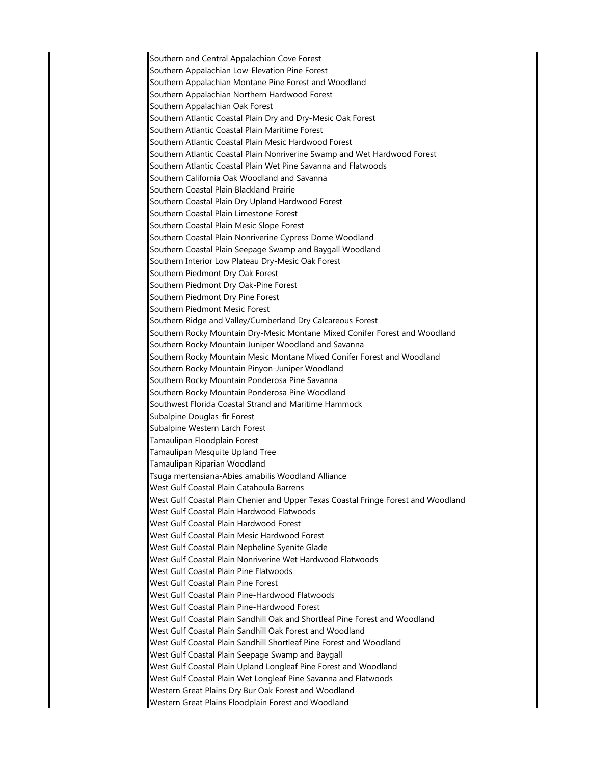Southern and Central Appalachian Cove Forest Southern Appalachian Low-Elevation Pine Forest Southern Appalachian Montane Pine Forest and Woodland Southern Appalachian Northern Hardwood Forest Southern Appalachian Oak Forest Southern Atlantic Coastal Plain Dry and Dry-Mesic Oak Forest Southern Atlantic Coastal Plain Maritime Forest Southern Atlantic Coastal Plain Mesic Hardwood Forest Southern Atlantic Coastal Plain Nonriverine Swamp and Wet Hardwood Forest Southern Atlantic Coastal Plain Wet Pine Savanna and Flatwoods Southern California Oak Woodland and Savanna Southern Coastal Plain Blackland Prairie Southern Coastal Plain Dry Upland Hardwood Forest Southern Coastal Plain Limestone Forest Southern Coastal Plain Mesic Slope Forest Southern Coastal Plain Nonriverine Cypress Dome Woodland Southern Coastal Plain Seepage Swamp and Baygall Woodland Southern Interior Low Plateau Dry-Mesic Oak Forest Southern Piedmont Dry Oak Forest Southern Piedmont Dry Oak-Pine Forest Southern Piedmont Dry Pine Forest Southern Piedmont Mesic Forest Southern Ridge and Valley/Cumberland Dry Calcareous Forest Southern Rocky Mountain Dry-Mesic Montane Mixed Conifer Forest and Woodland Southern Rocky Mountain Juniper Woodland and Savanna Southern Rocky Mountain Mesic Montane Mixed Conifer Forest and Woodland Southern Rocky Mountain Pinyon-Juniper Woodland Southern Rocky Mountain Ponderosa Pine Savanna Southern Rocky Mountain Ponderosa Pine Woodland Southwest Florida Coastal Strand and Maritime Hammock Subalpine Douglas-fir Forest Subalpine Western Larch Forest Tamaulipan Floodplain Forest Tamaulipan Mesquite Upland Tree Tamaulipan Riparian Woodland Tsuga mertensiana-Abies amabilis Woodland Alliance West Gulf Coastal Plain Catahoula Barrens West Gulf Coastal Plain Chenier and Upper Texas Coastal Fringe Forest and Woodland West Gulf Coastal Plain Hardwood Flatwoods West Gulf Coastal Plain Hardwood Forest West Gulf Coastal Plain Mesic Hardwood Forest West Gulf Coastal Plain Nepheline Syenite Glade West Gulf Coastal Plain Nonriverine Wet Hardwood Flatwoods West Gulf Coastal Plain Pine Flatwoods West Gulf Coastal Plain Pine Forest West Gulf Coastal Plain Pine-Hardwood Flatwoods West Gulf Coastal Plain Pine-Hardwood Forest West Gulf Coastal Plain Sandhill Oak and Shortleaf Pine Forest and Woodland West Gulf Coastal Plain Sandhill Oak Forest and Woodland West Gulf Coastal Plain Sandhill Shortleaf Pine Forest and Woodland West Gulf Coastal Plain Seepage Swamp and Baygall West Gulf Coastal Plain Upland Longleaf Pine Forest and Woodland West Gulf Coastal Plain Wet Longleaf Pine Savanna and Flatwoods Western Great Plains Dry Bur Oak Forest and Woodland Western Great Plains Floodplain Forest and Woodland